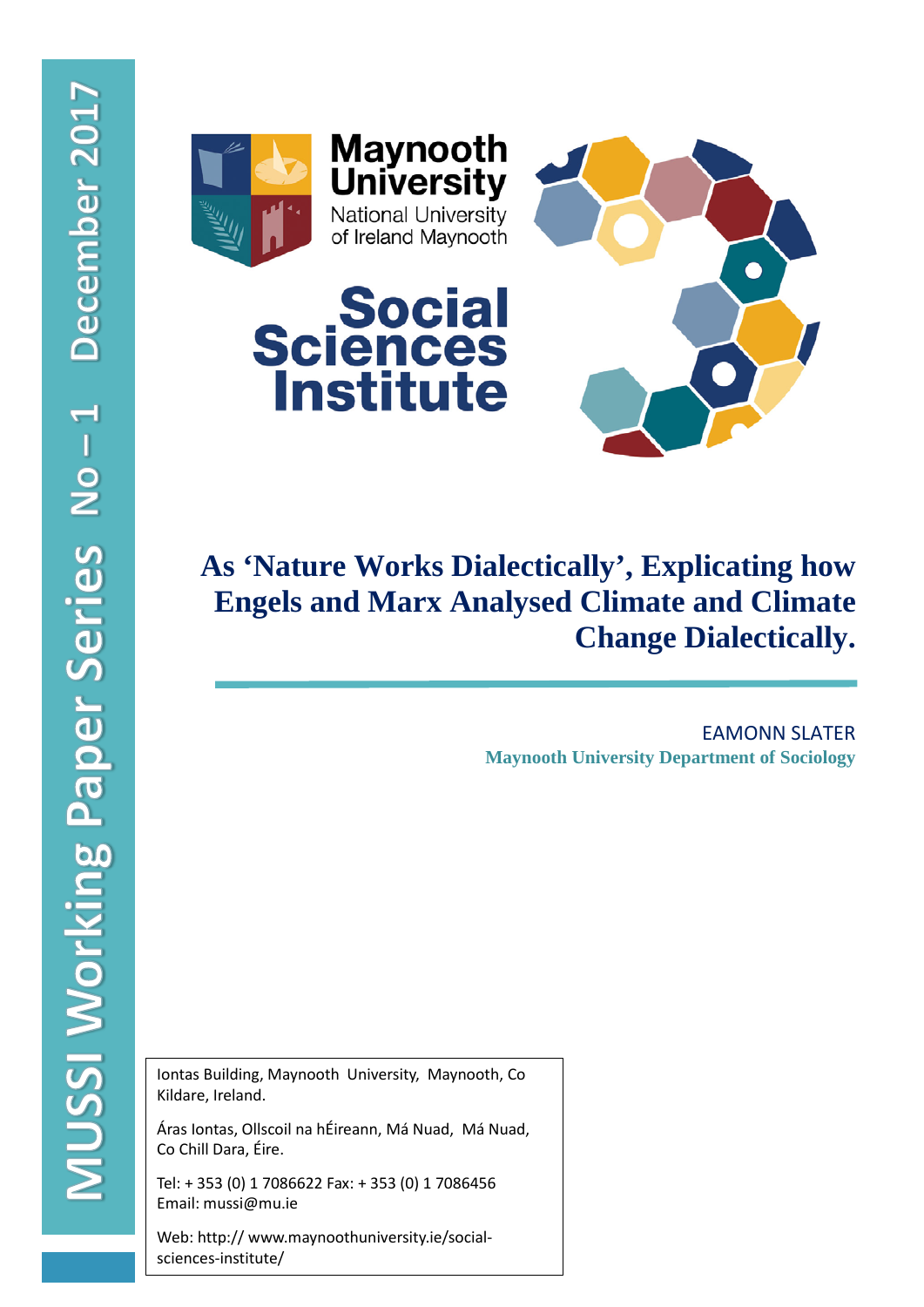



# **As 'Nature Works Dialectically', Explicating how Engels and Marx Analysed Climate and Climate Change Dialectically.**

EAMONN SLATER **Maynooth University Department of Sociology**

í

Iontas Building, Maynooth University, Maynooth, Co Kildare, Ireland.

Áras Iontas, Ollscoil na hÉireann, Má Nuad, Má Nuad, Co Chill Dara, Éire.

Tel: + 353 (0) 1 7086622 Fax: + 353 (0) 1 7086456 Email: mussi@mu.ie

Web: http:// www.maynoothuniversity.ie/socialsciences-institute/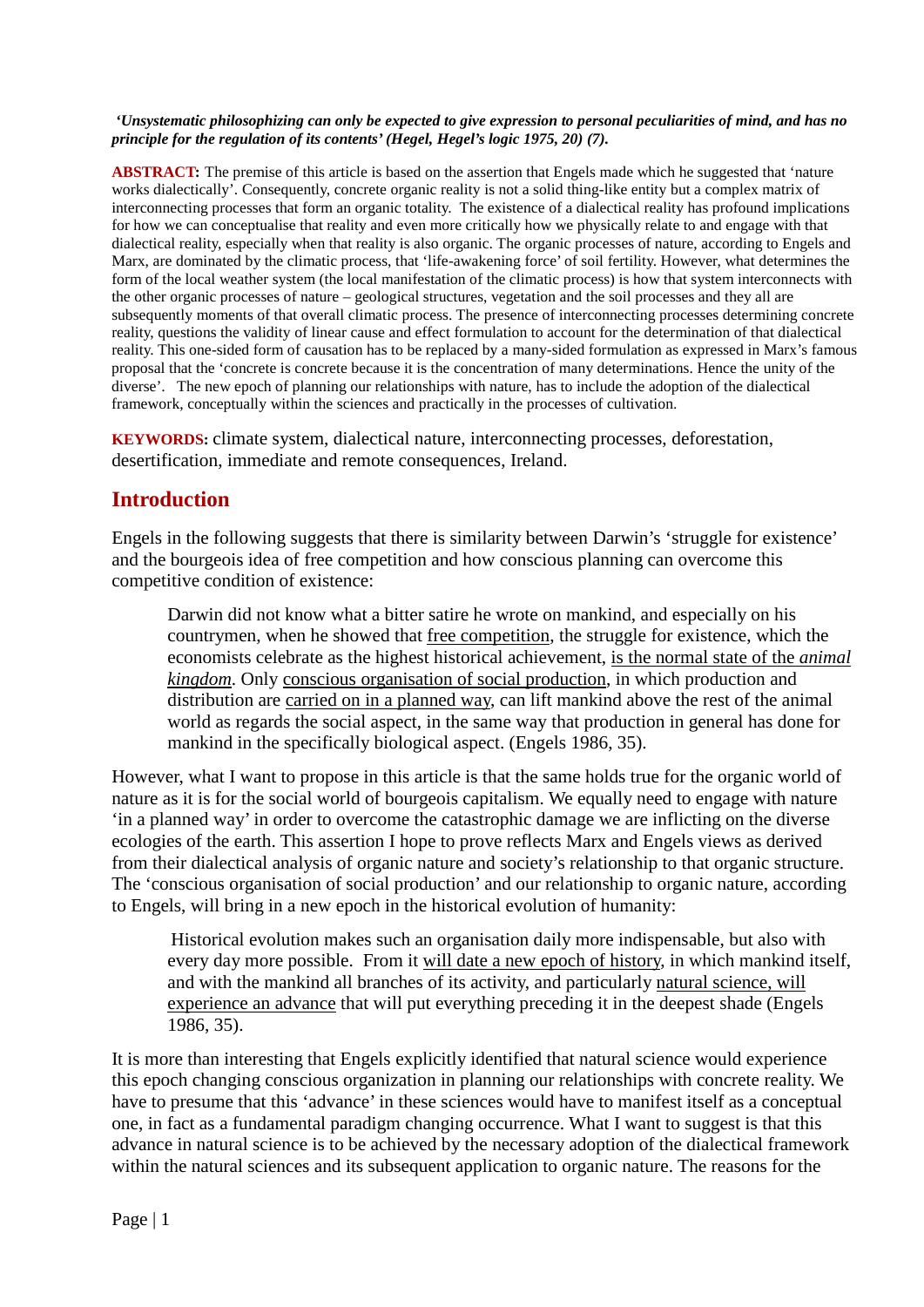#### *'Unsystematic philosophizing can only be expected to give expression to personal peculiarities of mind, and has no principle for the regulation of its contents' (Hegel, Hegel's logic 1975, 20) (7).*

**ABSTRACT:** The premise of this article is based on the assertion that Engels made which he suggested that 'nature works dialectically'. Consequently, concrete organic reality is not a solid thing-like entity but a complex matrix of interconnecting processes that form an organic totality. The existence of a dialectical reality has profound implications for how we can conceptualise that reality and even more critically how we physically relate to and engage with that dialectical reality, especially when that reality is also organic. The organic processes of nature, according to Engels and Marx, are dominated by the climatic process, that 'life-awakening force' of soil fertility. However, what determines the form of the local weather system (the local manifestation of the climatic process) is how that system interconnects with the other organic processes of nature – geological structures, vegetation and the soil processes and they all are subsequently moments of that overall climatic process. The presence of interconnecting processes determining concrete reality, questions the validity of linear cause and effect formulation to account for the determination of that dialectical reality. This one-sided form of causation has to be replaced by a many-sided formulation as expressed in Marx's famous proposal that the 'concrete is concrete because it is the concentration of many determinations. Hence the unity of the diverse'. The new epoch of planning our relationships with nature, has to include the adoption of the dialectical framework, conceptually within the sciences and practically in the processes of cultivation.

**KEYWORDS:** climate system, dialectical nature, interconnecting processes, deforestation, desertification, immediate and remote consequences, Ireland.

### **Introduction**

Engels in the following suggests that there is similarity between Darwin's 'struggle for existence' and the bourgeois idea of free competition and how conscious planning can overcome this competitive condition of existence:

Darwin did not know what a bitter satire he wrote on mankind, and especially on his countrymen, when he showed that free competition, the struggle for existence, which the economists celebrate as the highest historical achievement, is the normal state of the *animal kingdom*. Only conscious organisation of social production, in which production and distribution are carried on in a planned way, can lift mankind above the rest of the animal world as regards the social aspect, in the same way that production in general has done for mankind in the specifically biological aspect. (Engels 1986, 35).

However, what I want to propose in this article is that the same holds true for the organic world of nature as it is for the social world of bourgeois capitalism. We equally need to engage with nature 'in a planned way' in order to overcome the catastrophic damage we are inflicting on the diverse ecologies of the earth. This assertion I hope to prove reflects Marx and Engels views as derived from their dialectical analysis of organic nature and society's relationship to that organic structure. The 'conscious organisation of social production' and our relationship to organic nature, according to Engels, will bring in a new epoch in the historical evolution of humanity:

Historical evolution makes such an organisation daily more indispensable, but also with every day more possible. From it will date a new epoch of history, in which mankind itself, and with the mankind all branches of its activity, and particularly natural science, will experience an advance that will put everything preceding it in the deepest shade (Engels 1986, 35).

It is more than interesting that Engels explicitly identified that natural science would experience this epoch changing conscious organization in planning our relationships with concrete reality. We have to presume that this 'advance' in these sciences would have to manifest itself as a conceptual one, in fact as a fundamental paradigm changing occurrence. What I want to suggest is that this advance in natural science is to be achieved by the necessary adoption of the dialectical framework within the natural sciences and its subsequent application to organic nature. The reasons for the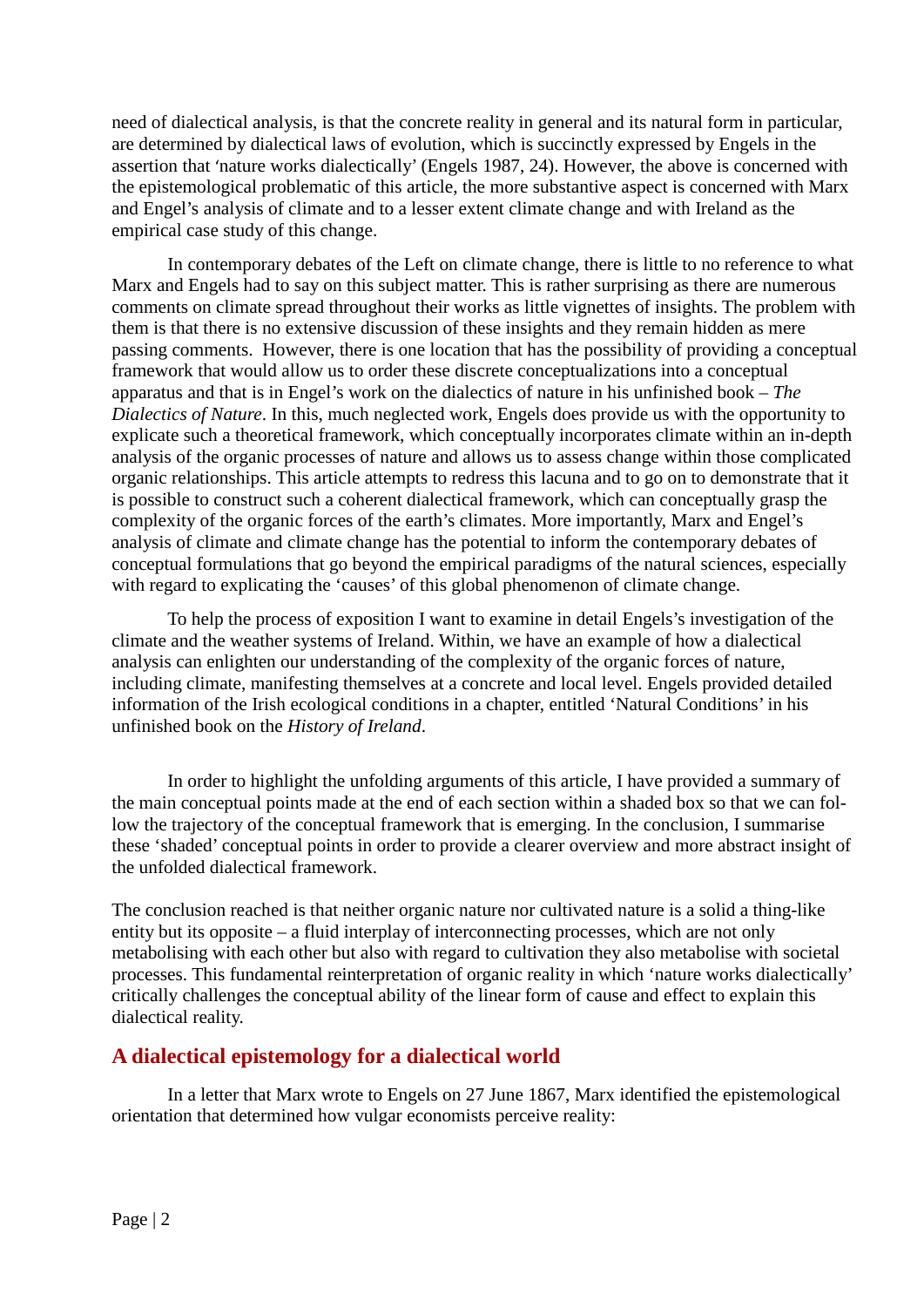need of dialectical analysis, is that the concrete reality in general and its natural form in particular, are determined by dialectical laws of evolution, which is succinctly expressed by Engels in the assertion that 'nature works dialectically' (Engels 1987, 24). However, the above is concerned with the epistemological problematic of this article, the more substantive aspect is concerned with Marx and Engel's analysis of climate and to a lesser extent climate change and with Ireland as the empirical case study of this change.

In contemporary debates of the Left on climate change, there is little to no reference to what Marx and Engels had to say on this subject matter. This is rather surprising as there are numerous comments on climate spread throughout their works as little vignettes of insights. The problem with them is that there is no extensive discussion of these insights and they remain hidden as mere passing comments. However, there is one location that has the possibility of providing a conceptual framework that would allow us to order these discrete conceptualizations into a conceptual apparatus and that is in Engel's work on the dialectics of nature in his unfinished book – *The Dialectics of Nature*. In this, much neglected work, Engels does provide us with the opportunity to explicate such a theoretical framework, which conceptually incorporates climate within an in-depth analysis of the organic processes of nature and allows us to assess change within those complicated organic relationships. This article attempts to redress this lacuna and to go on to demonstrate that it is possible to construct such a coherent dialectical framework, which can conceptually grasp the complexity of the organic forces of the earth's climates. More importantly, Marx and Engel's analysis of climate and climate change has the potential to inform the contemporary debates of conceptual formulations that go beyond the empirical paradigms of the natural sciences, especially with regard to explicating the 'causes' of this global phenomenon of climate change.

To help the process of exposition I want to examine in detail Engels's investigation of the climate and the weather systems of Ireland. Within, we have an example of how a dialectical analysis can enlighten our understanding of the complexity of the organic forces of nature, including climate, manifesting themselves at a concrete and local level. Engels provided detailed information of the Irish ecological conditions in a chapter, entitled 'Natural Conditions' in his unfinished book on the *History of Ireland*.

In order to highlight the unfolding arguments of this article, I have provided a summary of the main conceptual points made at the end of each section within a shaded box so that we can follow the trajectory of the conceptual framework that is emerging. In the conclusion, I summarise these 'shaded' conceptual points in order to provide a clearer overview and more abstract insight of the unfolded dialectical framework.

The conclusion reached is that neither organic nature nor cultivated nature is a solid a thing-like entity but its opposite – a fluid interplay of interconnecting processes, which are not only metabolising with each other but also with regard to cultivation they also metabolise with societal processes. This fundamental reinterpretation of organic reality in which 'nature works dialectically' critically challenges the conceptual ability of the linear form of cause and effect to explain this dialectical reality.

### **A dialectical epistemology for a dialectical world**

In a letter that Marx wrote to Engels on 27 June 1867, Marx identified the epistemological orientation that determined how vulgar economists perceive reality: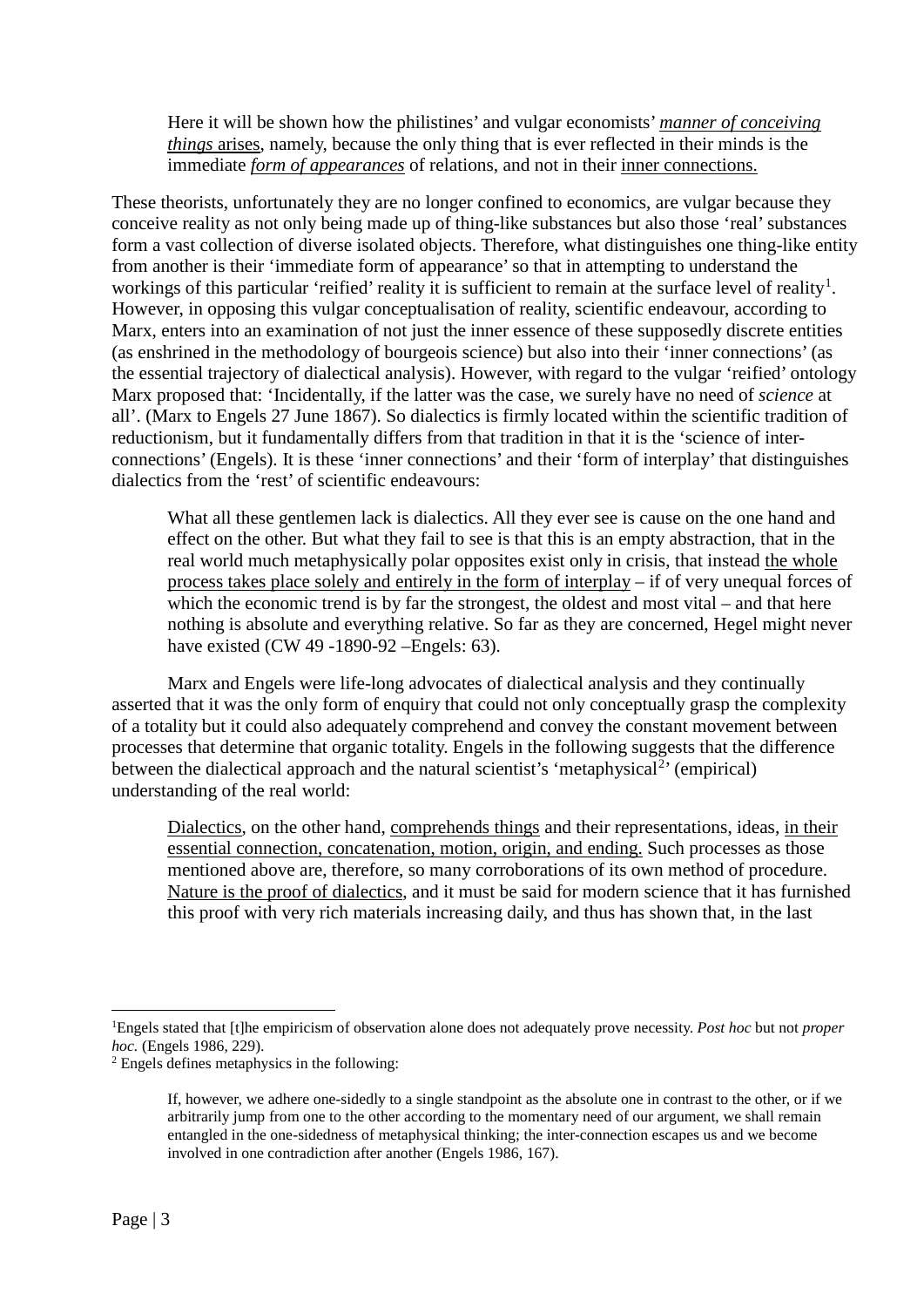Here it will be shown how the philistines' and vulgar economists' *manner of conceiving things* arises, namely, because the only thing that is ever reflected in their minds is the immediate *form of appearances* of relations, and not in their inner connections.

These theorists, unfortunately they are no longer confined to economics, are vulgar because they conceive reality as not only being made up of thing-like substances but also those 'real' substances form a vast collection of diverse isolated objects. Therefore, what distinguishes one thing-like entity from another is their 'immediate form of appearance' so that in attempting to understand the workings of this particular 'reified' reality it is sufficient to remain at the surface level of reality<sup>[1](#page-3-0)</sup>. However, in opposing this vulgar conceptualisation of reality, scientific endeavour, according to Marx, enters into an examination of not just the inner essence of these supposedly discrete entities (as enshrined in the methodology of bourgeois science) but also into their 'inner connections' (as the essential trajectory of dialectical analysis). However, with regard to the vulgar 'reified' ontology Marx proposed that: 'Incidentally, if the latter was the case, we surely have no need of *science* at all'. (Marx to Engels 27 June 1867). So dialectics is firmly located within the scientific tradition of reductionism, but it fundamentally differs from that tradition in that it is the 'science of interconnections' (Engels). It is these 'inner connections' and their 'form of interplay' that distinguishes dialectics from the 'rest' of scientific endeavours:

What all these gentlemen lack is dialectics. All they ever see is cause on the one hand and effect on the other. But what they fail to see is that this is an empty abstraction, that in the real world much metaphysically polar opposites exist only in crisis, that instead the whole process takes place solely and entirely in the form of interplay – if of very unequal forces of which the economic trend is by far the strongest, the oldest and most vital – and that here nothing is absolute and everything relative. So far as they are concerned, Hegel might never have existed (CW 49 -1890-92 –Engels: 63).

Marx and Engels were life-long advocates of dialectical analysis and they continually asserted that it was the only form of enquiry that could not only conceptually grasp the complexity of a totality but it could also adequately comprehend and convey the constant movement between processes that determine that organic totality. Engels in the following suggests that the difference between the dialectical approach and the natural scientist's 'metaphysical<sup>[2](#page-3-1)</sup>' (empirical) understanding of the real world:

Dialectics, on the other hand, comprehends things and their representations, ideas, in their essential connection, concatenation, motion, origin, and ending. Such processes as those mentioned above are, therefore, so many corroborations of its own method of procedure. Nature is the proof of dialectics, and it must be said for modern science that it has furnished this proof with very rich materials increasing daily, and thus has shown that, in the last

<span id="page-3-0"></span><sup>1</sup> Engels stated that [t]he empiricism of observation alone does not adequately prove necessity. *Post hoc* but not *proper hoc.* (Engels 1986, 229).

<span id="page-3-1"></span><sup>&</sup>lt;sup>2</sup> Engels defines metaphysics in the following:

If, however, we adhere one-sidedly to a single standpoint as the absolute one in contrast to the other, or if we arbitrarily jump from one to the other according to the momentary need of our argument, we shall remain entangled in the one-sidedness of metaphysical thinking; the inter-connection escapes us and we become involved in one contradiction after another (Engels 1986, 167).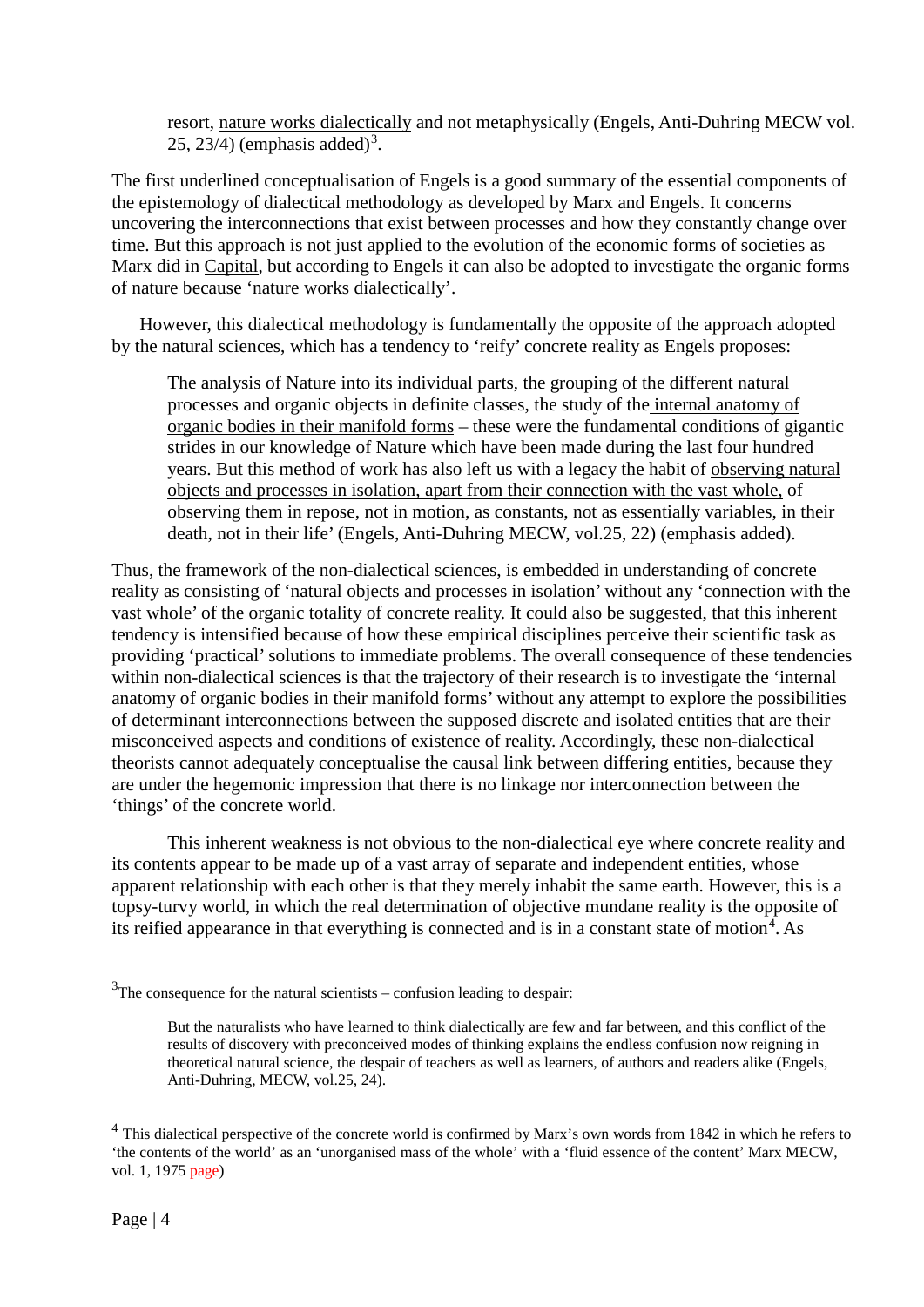resort, nature works dialectically and not metaphysically (Engels, Anti-Duhring MECW vol. 25, 2[3](#page-4-0)/4) (emphasis added)<sup>3</sup>.

The first underlined conceptualisation of Engels is a good summary of the essential components of the epistemology of dialectical methodology as developed by Marx and Engels. It concerns uncovering the interconnections that exist between processes and how they constantly change over time. But this approach is not just applied to the evolution of the economic forms of societies as Marx did in Capital, but according to Engels it can also be adopted to investigate the organic forms of nature because 'nature works dialectically'.

However, this dialectical methodology is fundamentally the opposite of the approach adopted by the natural sciences, which has a tendency to 'reify' concrete reality as Engels proposes:

The analysis of Nature into its individual parts, the grouping of the different natural processes and organic objects in definite classes, the study of the internal anatomy of organic bodies in their manifold forms – these were the fundamental conditions of gigantic strides in our knowledge of Nature which have been made during the last four hundred years. But this method of work has also left us with a legacy the habit of observing natural objects and processes in isolation, apart from their connection with the vast whole, of observing them in repose, not in motion, as constants, not as essentially variables, in their death, not in their life' (Engels, Anti-Duhring MECW, vol.25, 22) (emphasis added).

Thus, the framework of the non-dialectical sciences, is embedded in understanding of concrete reality as consisting of 'natural objects and processes in isolation' without any 'connection with the vast whole' of the organic totality of concrete reality. It could also be suggested, that this inherent tendency is intensified because of how these empirical disciplines perceive their scientific task as providing 'practical' solutions to immediate problems. The overall consequence of these tendencies within non-dialectical sciences is that the trajectory of their research is to investigate the 'internal anatomy of organic bodies in their manifold forms' without any attempt to explore the possibilities of determinant interconnections between the supposed discrete and isolated entities that are their misconceived aspects and conditions of existence of reality. Accordingly, these non-dialectical theorists cannot adequately conceptualise the causal link between differing entities, because they are under the hegemonic impression that there is no linkage nor interconnection between the 'things' of the concrete world.

This inherent weakness is not obvious to the non-dialectical eye where concrete reality and its contents appear to be made up of a vast array of separate and independent entities, whose apparent relationship with each other is that they merely inhabit the same earth. However, this is a topsy-turvy world, in which the real determination of objective mundane reality is the opposite of its reified appearance in that everything is connected and is in a constant state of motion<sup>[4](#page-4-1)</sup>. As

<span id="page-4-0"></span> $3$ The consequence for the natural scientists – confusion leading to despair:

But the naturalists who have learned to think dialectically are few and far between, and this conflict of the results of discovery with preconceived modes of thinking explains the endless confusion now reigning in theoretical natural science, the despair of teachers as well as learners, of authors and readers alike (Engels, Anti-Duhring, MECW, vol.25, 24).

<span id="page-4-1"></span><sup>&</sup>lt;sup>4</sup> This dialectical perspective of the concrete world is confirmed by Marx's own words from 1842 in which he refers to 'the contents of the world' as an 'unorganised mass of the whole' with a 'fluid essence of the content' Marx MECW, vol. 1, 1975 page)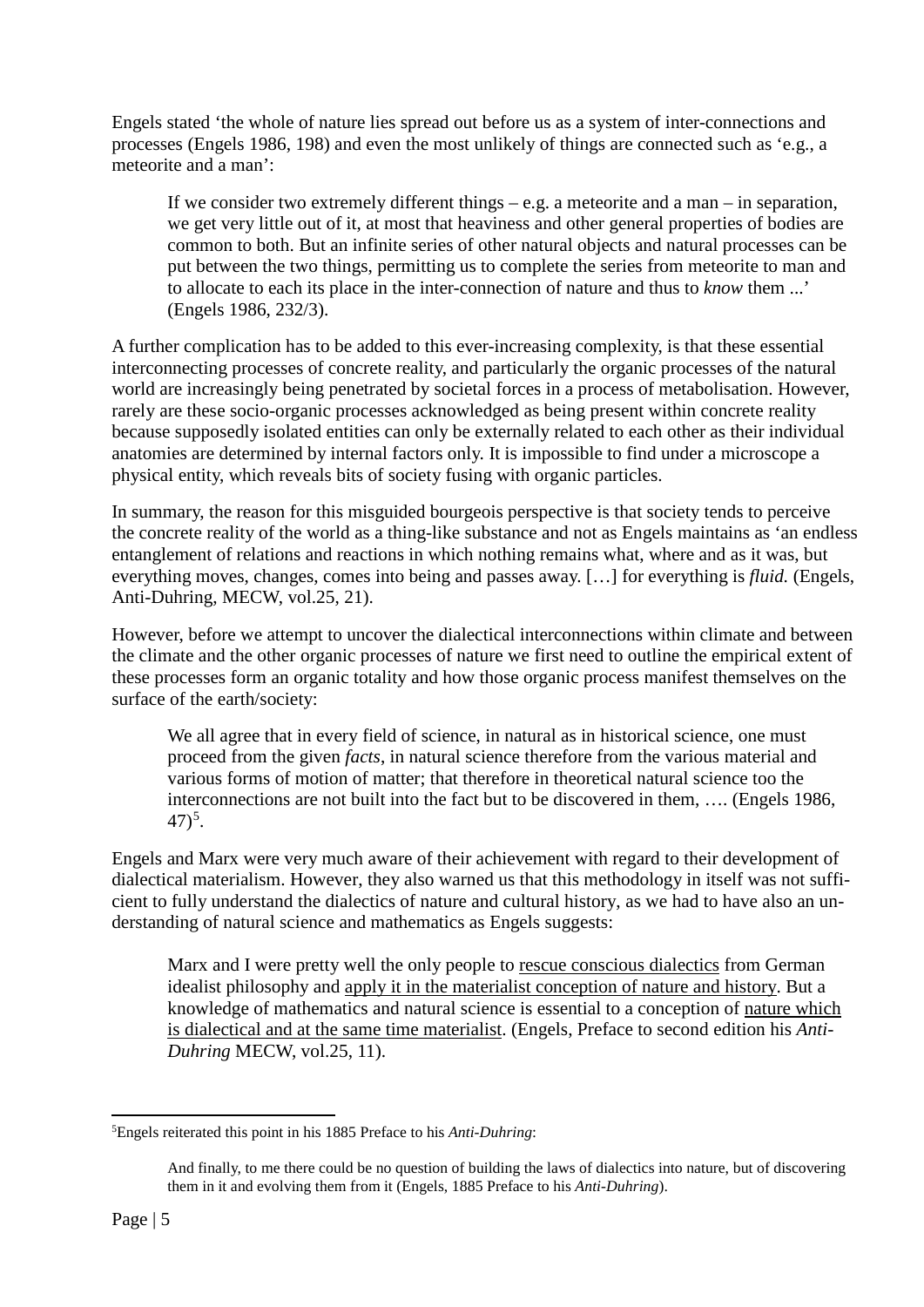Engels stated 'the whole of nature lies spread out before us as a system of inter-connections and processes (Engels 1986, 198) and even the most unlikely of things are connected such as 'e.g., a meteorite and a man':

If we consider two extremely different things  $-e.g.$  a meteorite and a man – in separation, we get very little out of it, at most that heaviness and other general properties of bodies are common to both. But an infinite series of other natural objects and natural processes can be put between the two things, permitting us to complete the series from meteorite to man and to allocate to each its place in the inter-connection of nature and thus to *know* them ...' (Engels 1986, 232/3).

A further complication has to be added to this ever-increasing complexity, is that these essential interconnecting processes of concrete reality, and particularly the organic processes of the natural world are increasingly being penetrated by societal forces in a process of metabolisation. However, rarely are these socio-organic processes acknowledged as being present within concrete reality because supposedly isolated entities can only be externally related to each other as their individual anatomies are determined by internal factors only. It is impossible to find under a microscope a physical entity, which reveals bits of society fusing with organic particles.

In summary, the reason for this misguided bourgeois perspective is that society tends to perceive the concrete reality of the world as a thing-like substance and not as Engels maintains as 'an endless entanglement of relations and reactions in which nothing remains what, where and as it was, but everything moves, changes, comes into being and passes away. […] for everything is *fluid.* (Engels, Anti-Duhring, MECW, vol.25, 21).

However, before we attempt to uncover the dialectical interconnections within climate and between the climate and the other organic processes of nature we first need to outline the empirical extent of these processes form an organic totality and how those organic process manifest themselves on the surface of the earth/society:

We all agree that in every field of science, in natural as in historical science, one must proceed from the given *facts*, in natural science therefore from the various material and various forms of motion of matter; that therefore in theoretical natural science too the interconnections are not built into the fact but to be discovered in them, …. (Engels 1986,  $(47)^5$  $(47)^5$ .

Engels and Marx were very much aware of their achievement with regard to their development of dialectical materialism. However, they also warned us that this methodology in itself was not sufficient to fully understand the dialectics of nature and cultural history, as we had to have also an understanding of natural science and mathematics as Engels suggests:

Marx and I were pretty well the only people to rescue conscious dialectics from German idealist philosophy and apply it in the materialist conception of nature and history. But a knowledge of mathematics and natural science is essential to a conception of nature which is dialectical and at the same time materialist. (Engels, Preface to second edition his *Anti-Duhring* MECW, vol.25, 11).

<span id="page-5-0"></span><sup>5</sup> Engels reiterated this point in his 1885 Preface to his *Anti-Duhring*:

And finally, to me there could be no question of building the laws of dialectics into nature, but of discovering them in it and evolving them from it (Engels, 1885 Preface to his *Anti-Duhring*).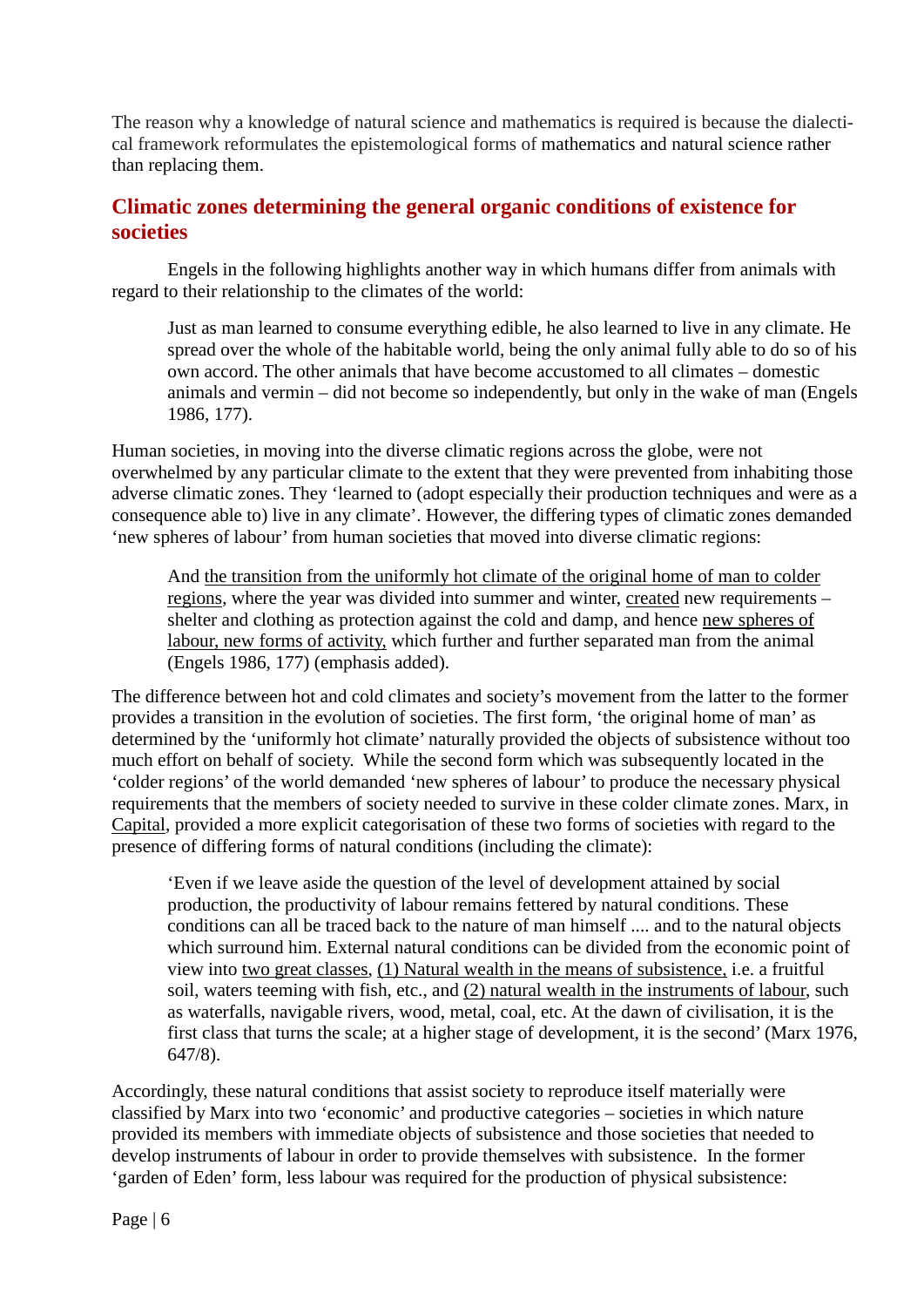The reason why a knowledge of natural science and mathematics is required is because the dialectical framework reformulates the epistemological forms of mathematics and natural science rather than replacing them.

#### **Climatic zones determining the general organic conditions of existence for societies**

Engels in the following highlights another way in which humans differ from animals with regard to their relationship to the climates of the world:

Just as man learned to consume everything edible, he also learned to live in any climate. He spread over the whole of the habitable world, being the only animal fully able to do so of his own accord. The other animals that have become accustomed to all climates – domestic animals and vermin – did not become so independently, but only in the wake of man (Engels 1986, 177).

Human societies, in moving into the diverse climatic regions across the globe, were not overwhelmed by any particular climate to the extent that they were prevented from inhabiting those adverse climatic zones. They 'learned to (adopt especially their production techniques and were as a consequence able to) live in any climate'. However, the differing types of climatic zones demanded 'new spheres of labour' from human societies that moved into diverse climatic regions:

And the transition from the uniformly hot climate of the original home of man to colder regions, where the year was divided into summer and winter, created new requirements – shelter and clothing as protection against the cold and damp, and hence new spheres of labour, new forms of activity, which further and further separated man from the animal (Engels 1986, 177) (emphasis added).

The difference between hot and cold climates and society's movement from the latter to the former provides a transition in the evolution of societies. The first form, 'the original home of man' as determined by the 'uniformly hot climate' naturally provided the objects of subsistence without too much effort on behalf of society. While the second form which was subsequently located in the 'colder regions' of the world demanded 'new spheres of labour' to produce the necessary physical requirements that the members of society needed to survive in these colder climate zones. Marx, in Capital, provided a more explicit categorisation of these two forms of societies with regard to the presence of differing forms of natural conditions (including the climate):

'Even if we leave aside the question of the level of development attained by social production, the productivity of labour remains fettered by natural conditions. These conditions can all be traced back to the nature of man himself .... and to the natural objects which surround him. External natural conditions can be divided from the economic point of view into two great classes, (1) Natural wealth in the means of subsistence, i.e. a fruitful soil, waters teeming with fish, etc., and (2) natural wealth in the instruments of labour, such as waterfalls, navigable rivers, wood, metal, coal, etc. At the dawn of civilisation, it is the first class that turns the scale; at a higher stage of development, it is the second' (Marx 1976, 647/8).

Accordingly, these natural conditions that assist society to reproduce itself materially were classified by Marx into two 'economic' and productive categories – societies in which nature provided its members with immediate objects of subsistence and those societies that needed to develop instruments of labour in order to provide themselves with subsistence. In the former 'garden of Eden' form, less labour was required for the production of physical subsistence: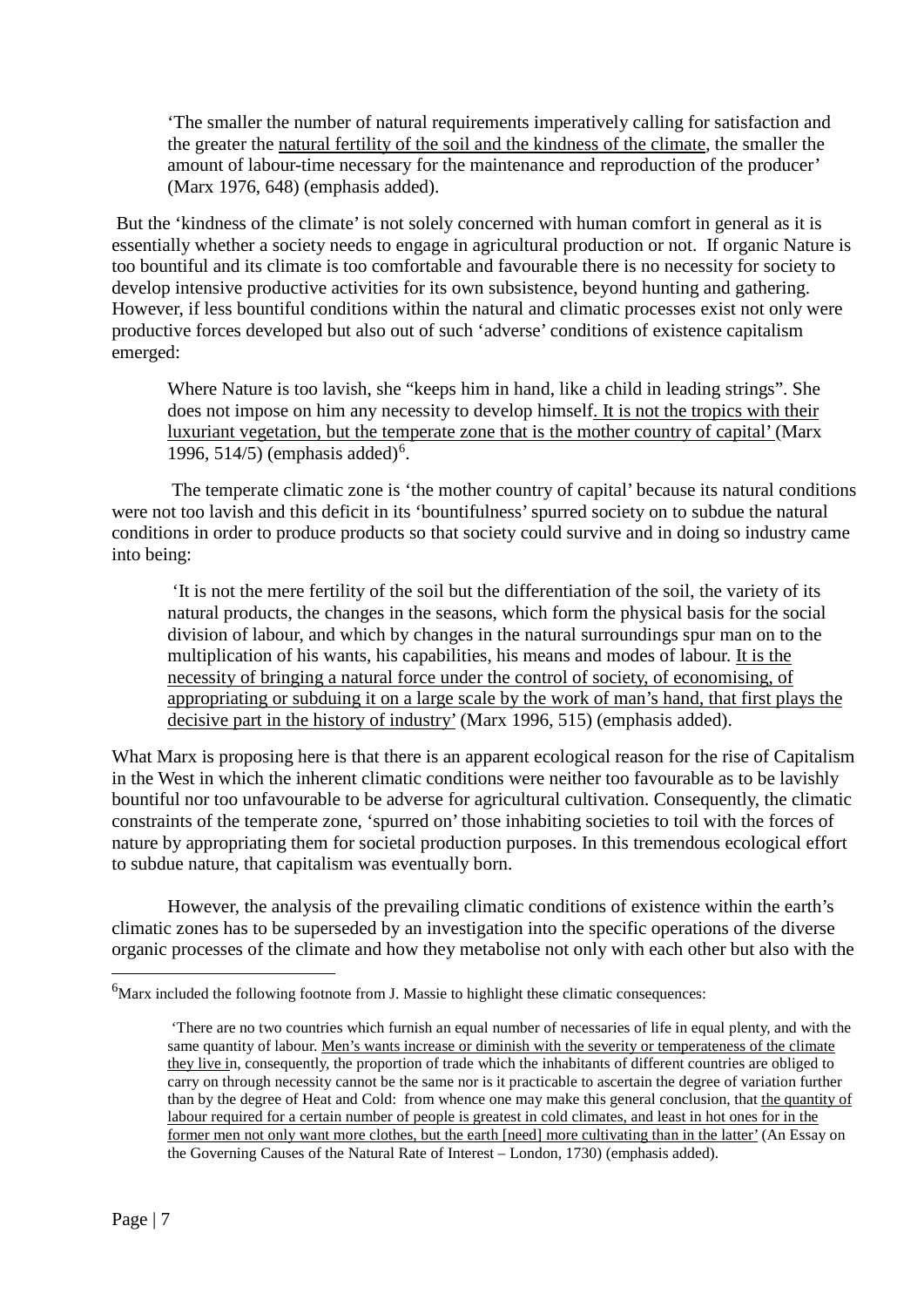'The smaller the number of natural requirements imperatively calling for satisfaction and the greater the natural fertility of the soil and the kindness of the climate, the smaller the amount of labour-time necessary for the maintenance and reproduction of the producer' (Marx 1976, 648) (emphasis added).

But the 'kindness of the climate' is not solely concerned with human comfort in general as it is essentially whether a society needs to engage in agricultural production or not. If organic Nature is too bountiful and its climate is too comfortable and favourable there is no necessity for society to develop intensive productive activities for its own subsistence, beyond hunting and gathering. However, if less bountiful conditions within the natural and climatic processes exist not only were productive forces developed but also out of such 'adverse' conditions of existence capitalism emerged:

Where Nature is too lavish, she "keeps him in hand, like a child in leading strings". She does not impose on him any necessity to develop himself. It is not the tropics with their luxuriant vegetation, but the temperate zone that is the mother country of capital' (Marx 199[6](#page-7-0), 514/5) (emphasis added)<sup>6</sup>.

 The temperate climatic zone is 'the mother country of capital' because its natural conditions were not too lavish and this deficit in its 'bountifulness' spurred society on to subdue the natural conditions in order to produce products so that society could survive and in doing so industry came into being:

'It is not the mere fertility of the soil but the differentiation of the soil, the variety of its natural products, the changes in the seasons, which form the physical basis for the social division of labour, and which by changes in the natural surroundings spur man on to the multiplication of his wants, his capabilities, his means and modes of labour. It is the necessity of bringing a natural force under the control of society, of economising, of appropriating or subduing it on a large scale by the work of man's hand, that first plays the decisive part in the history of industry' (Marx 1996, 515) (emphasis added).

What Marx is proposing here is that there is an apparent ecological reason for the rise of Capitalism in the West in which the inherent climatic conditions were neither too favourable as to be lavishly bountiful nor too unfavourable to be adverse for agricultural cultivation. Consequently, the climatic constraints of the temperate zone, 'spurred on' those inhabiting societies to toil with the forces of nature by appropriating them for societal production purposes. In this tremendous ecological effort to subdue nature, that capitalism was eventually born.

However, the analysis of the prevailing climatic conditions of existence within the earth's climatic zones has to be superseded by an investigation into the specific operations of the diverse organic processes of the climate and how they metabolise not only with each other but also with the

<span id="page-7-0"></span><sup>&</sup>lt;sup>6</sup>Marx included the following footnote from J. Massie to highlight these climatic consequences:

<sup>&#</sup>x27;There are no two countries which furnish an equal number of necessaries of life in equal plenty, and with the same quantity of labour. Men's wants increase or diminish with the severity or temperateness of the climate they live in, consequently, the proportion of trade which the inhabitants of different countries are obliged to carry on through necessity cannot be the same nor is it practicable to ascertain the degree of variation further than by the degree of Heat and Cold: from whence one may make this general conclusion, that the quantity of labour required for a certain number of people is greatest in cold climates, and least in hot ones for in the former men not only want more clothes, but the earth [need] more cultivating than in the latter' (An Essay on the Governing Causes of the Natural Rate of Interest – London, 1730) (emphasis added).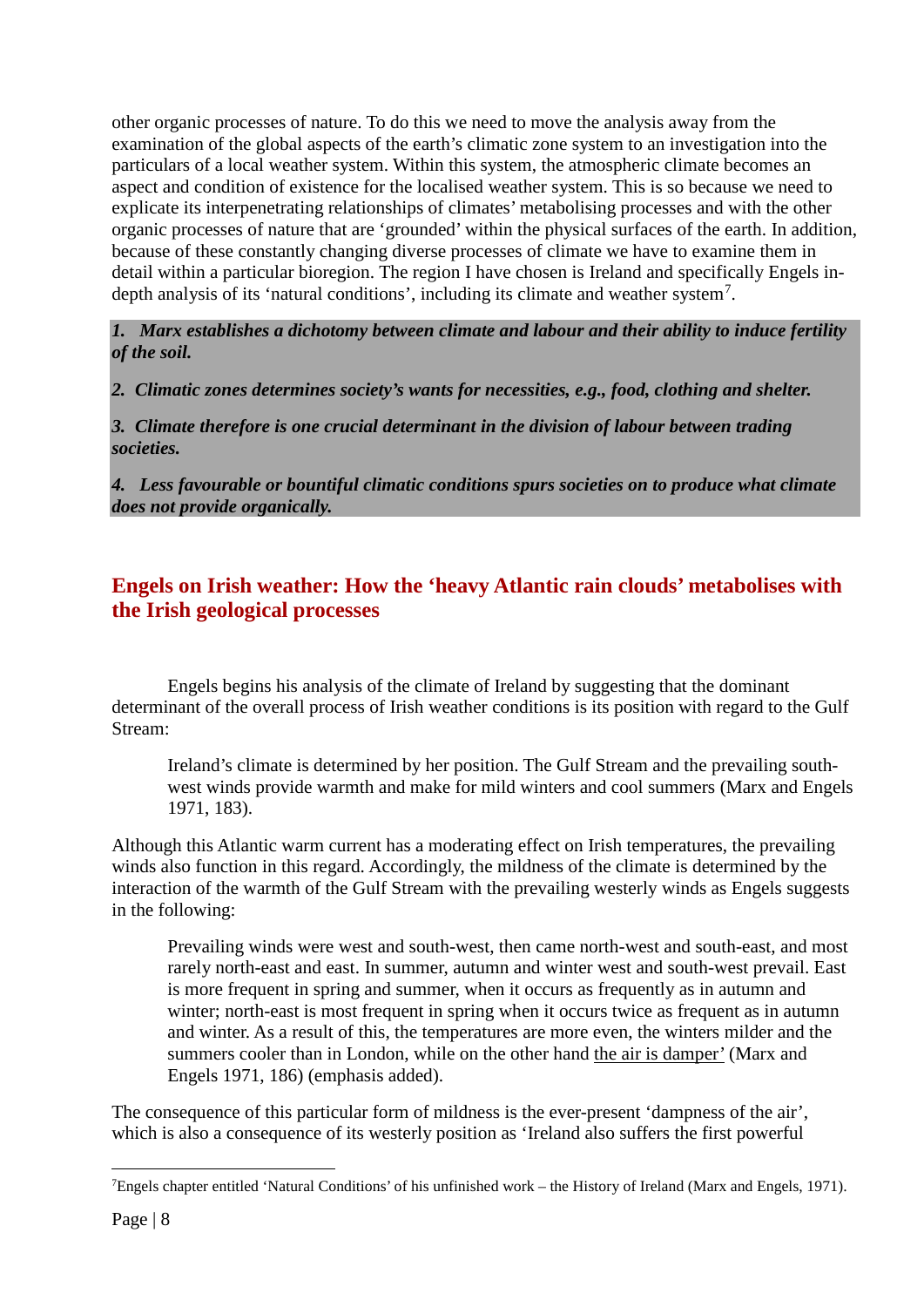other organic processes of nature. To do this we need to move the analysis away from the examination of the global aspects of the earth's climatic zone system to an investigation into the particulars of a local weather system. Within this system, the atmospheric climate becomes an aspect and condition of existence for the localised weather system. This is so because we need to explicate its interpenetrating relationships of climates' metabolising processes and with the other organic processes of nature that are 'grounded' within the physical surfaces of the earth. In addition, because of these constantly changing diverse processes of climate we have to examine them in detail within a particular bioregion. The region I have chosen is Ireland and specifically Engels in-depth analysis of its 'natural conditions', including its climate and weather system<sup>[7](#page-8-0)</sup>.

*1. Marx establishes a dichotomy between climate and labour and their ability to induce fertility of the soil.*

*2. Climatic zones determines society's wants for necessities, e.g., food, clothing and shelter.*

*3. Climate therefore is one crucial determinant in the division of labour between trading societies.*

*4. Less favourable or bountiful climatic conditions spurs societies on to produce what climate does not provide organically.*

# **Engels on Irish weather: How the 'heavy Atlantic rain clouds' metabolises with the Irish geological processes**

Engels begins his analysis of the climate of Ireland by suggesting that the dominant determinant of the overall process of Irish weather conditions is its position with regard to the Gulf Stream:

Ireland's climate is determined by her position. The Gulf Stream and the prevailing southwest winds provide warmth and make for mild winters and cool summers (Marx and Engels 1971, 183).

Although this Atlantic warm current has a moderating effect on Irish temperatures, the prevailing winds also function in this regard. Accordingly, the mildness of the climate is determined by the interaction of the warmth of the Gulf Stream with the prevailing westerly winds as Engels suggests in the following:

Prevailing winds were west and south-west, then came north-west and south-east, and most rarely north-east and east. In summer, autumn and winter west and south-west prevail. East is more frequent in spring and summer, when it occurs as frequently as in autumn and winter; north-east is most frequent in spring when it occurs twice as frequent as in autumn and winter. As a result of this, the temperatures are more even, the winters milder and the summers cooler than in London, while on the other hand the air is damper' (Marx and Engels 1971, 186) (emphasis added).

The consequence of this particular form of mildness is the ever-present 'dampness of the air', which is also a consequence of its westerly position as 'Ireland also suffers the first powerful

1

<span id="page-8-0"></span><sup>&</sup>lt;sup>7</sup>Engels chapter entitled 'Natural Conditions' of his unfinished work – the History of Ireland (Marx and Engels, 1971).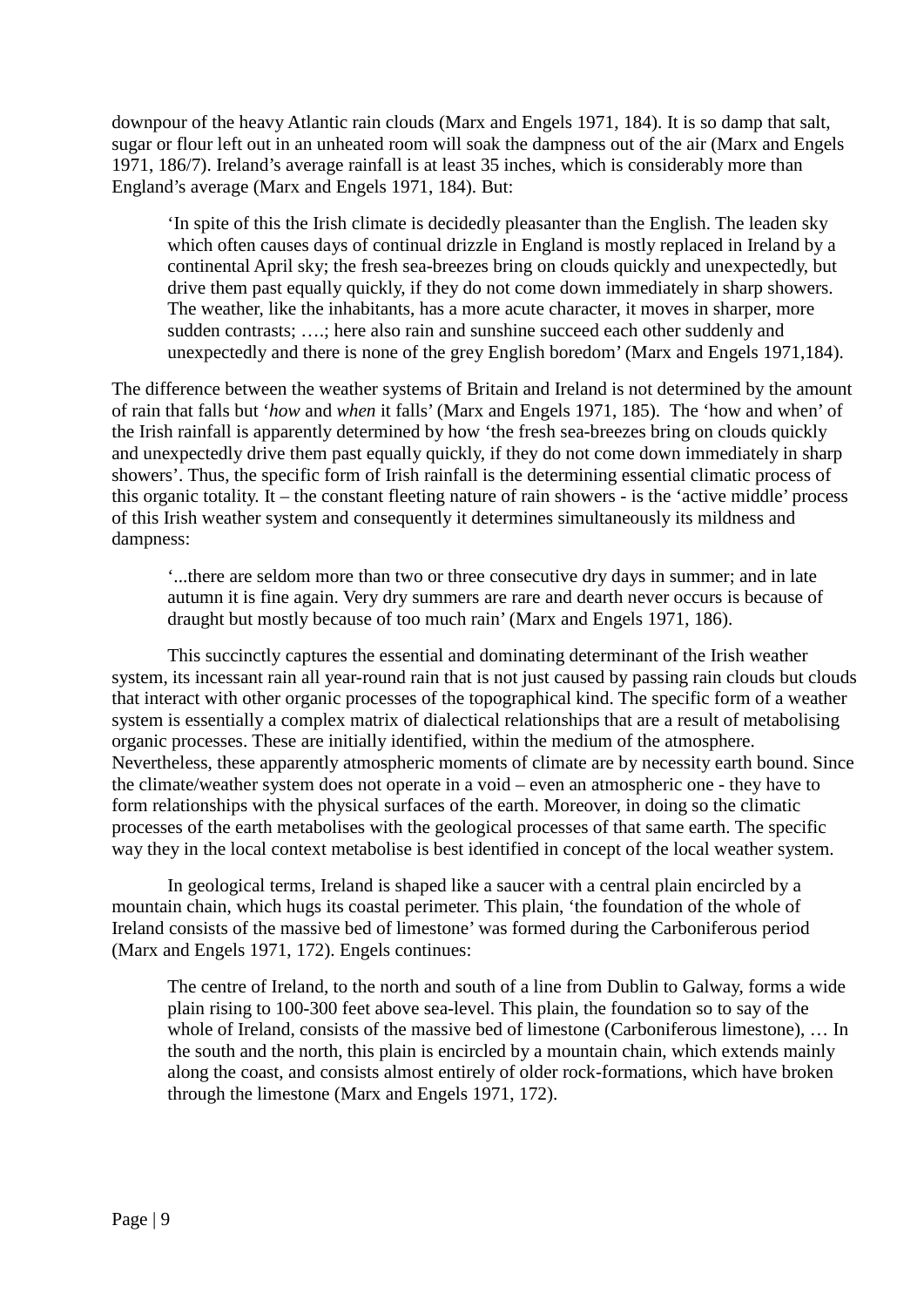downpour of the heavy Atlantic rain clouds (Marx and Engels 1971, 184). It is so damp that salt, sugar or flour left out in an unheated room will soak the dampness out of the air (Marx and Engels 1971, 186/7). Ireland's average rainfall is at least 35 inches, which is considerably more than England's average (Marx and Engels 1971, 184). But:

'In spite of this the Irish climate is decidedly pleasanter than the English. The leaden sky which often causes days of continual drizzle in England is mostly replaced in Ireland by a continental April sky; the fresh sea-breezes bring on clouds quickly and unexpectedly, but drive them past equally quickly, if they do not come down immediately in sharp showers. The weather, like the inhabitants, has a more acute character, it moves in sharper, more sudden contrasts; ….; here also rain and sunshine succeed each other suddenly and unexpectedly and there is none of the grey English boredom' (Marx and Engels 1971,184).

The difference between the weather systems of Britain and Ireland is not determined by the amount of rain that falls but '*how* and *when* it falls' (Marx and Engels 1971, 185). The 'how and when' of the Irish rainfall is apparently determined by how 'the fresh sea-breezes bring on clouds quickly and unexpectedly drive them past equally quickly, if they do not come down immediately in sharp showers'. Thus, the specific form of Irish rainfall is the determining essential climatic process of this organic totality. It – the constant fleeting nature of rain showers - is the 'active middle' process of this Irish weather system and consequently it determines simultaneously its mildness and dampness:

'...there are seldom more than two or three consecutive dry days in summer; and in late autumn it is fine again. Very dry summers are rare and dearth never occurs is because of draught but mostly because of too much rain' (Marx and Engels 1971, 186).

 This succinctly captures the essential and dominating determinant of the Irish weather system, its incessant rain all year-round rain that is not just caused by passing rain clouds but clouds that interact with other organic processes of the topographical kind. The specific form of a weather system is essentially a complex matrix of dialectical relationships that are a result of metabolising organic processes. These are initially identified, within the medium of the atmosphere. Nevertheless, these apparently atmospheric moments of climate are by necessity earth bound. Since the climate/weather system does not operate in a void – even an atmospheric one - they have to form relationships with the physical surfaces of the earth. Moreover, in doing so the climatic processes of the earth metabolises with the geological processes of that same earth. The specific way they in the local context metabolise is best identified in concept of the local weather system.

In geological terms, Ireland is shaped like a saucer with a central plain encircled by a mountain chain, which hugs its coastal perimeter. This plain, 'the foundation of the whole of Ireland consists of the massive bed of limestone' was formed during the Carboniferous period (Marx and Engels 1971, 172). Engels continues:

The centre of Ireland, to the north and south of a line from Dublin to Galway, forms a wide plain rising to 100-300 feet above sea-level. This plain, the foundation so to say of the whole of Ireland, consists of the massive bed of limestone (Carboniferous limestone), ... In the south and the north, this plain is encircled by a mountain chain, which extends mainly along the coast, and consists almost entirely of older rock-formations, which have broken through the limestone (Marx and Engels 1971, 172).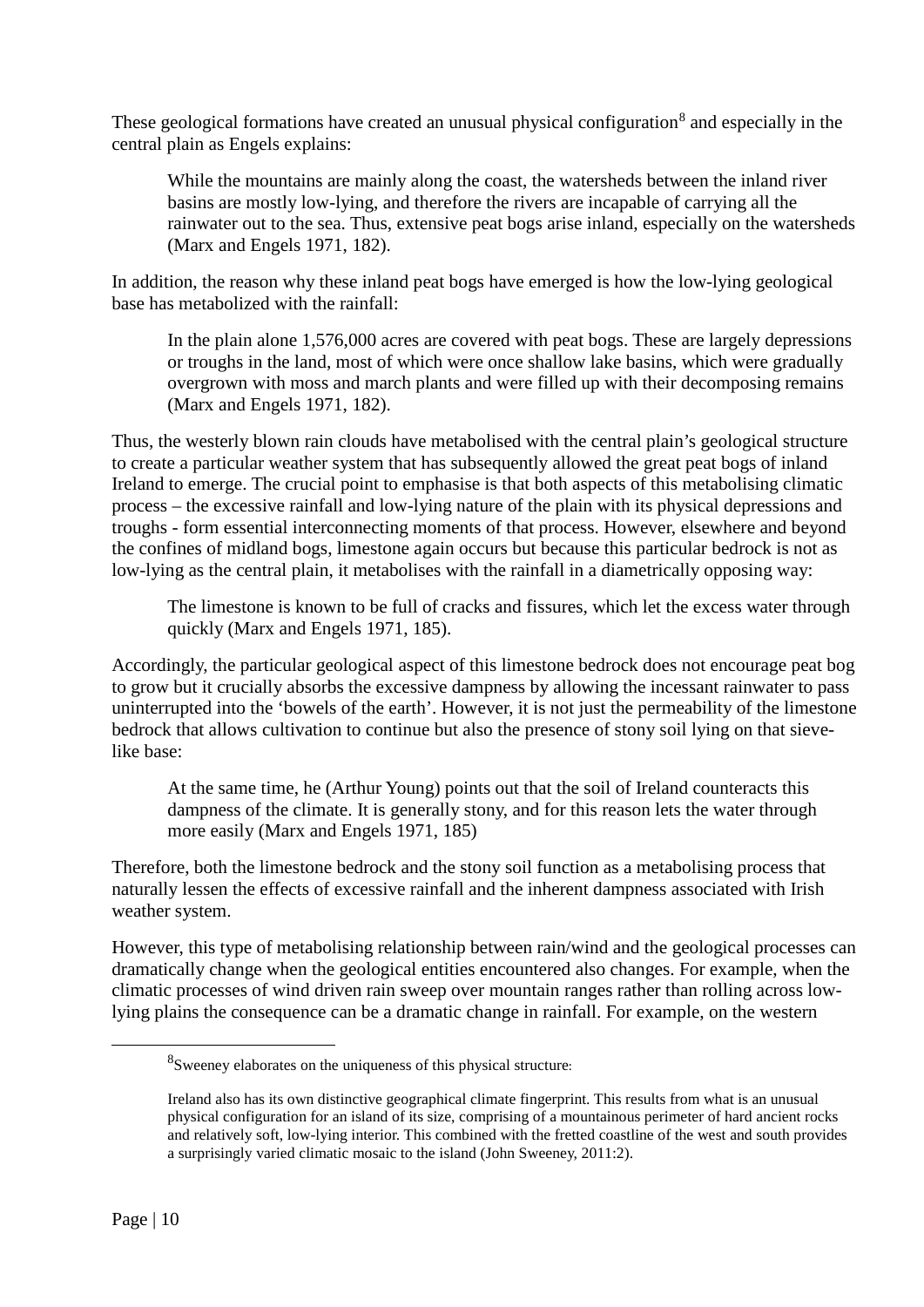These geological formations have created an unusual physical configuration<sup>[8](#page-10-0)</sup> and especially in the central plain as Engels explains:

While the mountains are mainly along the coast, the watersheds between the inland river basins are mostly low-lying, and therefore the rivers are incapable of carrying all the rainwater out to the sea. Thus, extensive peat bogs arise inland, especially on the watersheds (Marx and Engels 1971, 182).

In addition, the reason why these inland peat bogs have emerged is how the low-lying geological base has metabolized with the rainfall:

In the plain alone 1,576,000 acres are covered with peat bogs. These are largely depressions or troughs in the land, most of which were once shallow lake basins, which were gradually overgrown with moss and march plants and were filled up with their decomposing remains (Marx and Engels 1971, 182).

Thus, the westerly blown rain clouds have metabolised with the central plain's geological structure to create a particular weather system that has subsequently allowed the great peat bogs of inland Ireland to emerge. The crucial point to emphasise is that both aspects of this metabolising climatic process – the excessive rainfall and low-lying nature of the plain with its physical depressions and troughs - form essential interconnecting moments of that process. However, elsewhere and beyond the confines of midland bogs, limestone again occurs but because this particular bedrock is not as low-lying as the central plain, it metabolises with the rainfall in a diametrically opposing way:

The limestone is known to be full of cracks and fissures, which let the excess water through quickly (Marx and Engels 1971, 185).

Accordingly, the particular geological aspect of this limestone bedrock does not encourage peat bog to grow but it crucially absorbs the excessive dampness by allowing the incessant rainwater to pass uninterrupted into the 'bowels of the earth'. However, it is not just the permeability of the limestone bedrock that allows cultivation to continue but also the presence of stony soil lying on that sievelike base:

At the same time, he (Arthur Young) points out that the soil of Ireland counteracts this dampness of the climate. It is generally stony, and for this reason lets the water through more easily (Marx and Engels 1971, 185)

Therefore, both the limestone bedrock and the stony soil function as a metabolising process that naturally lessen the effects of excessive rainfall and the inherent dampness associated with Irish weather system.

<span id="page-10-0"></span>However, this type of metabolising relationship between rain/wind and the geological processes can dramatically change when the geological entities encountered also changes. For example, when the climatic processes of wind driven rain sweep over mountain ranges rather than rolling across lowlying plains the consequence can be a dramatic change in rainfall. For example, on the western

<sup>8</sup> Sweeney elaborates on the uniqueness of this physical structure:

Ireland also has its own distinctive geographical climate fingerprint. This results from what is an unusual physical configuration for an island of its size, comprising of a mountainous perimeter of hard ancient rocks and relatively soft, low-lying interior. This combined with the fretted coastline of the west and south provides a surprisingly varied climatic mosaic to the island (John Sweeney, 2011:2).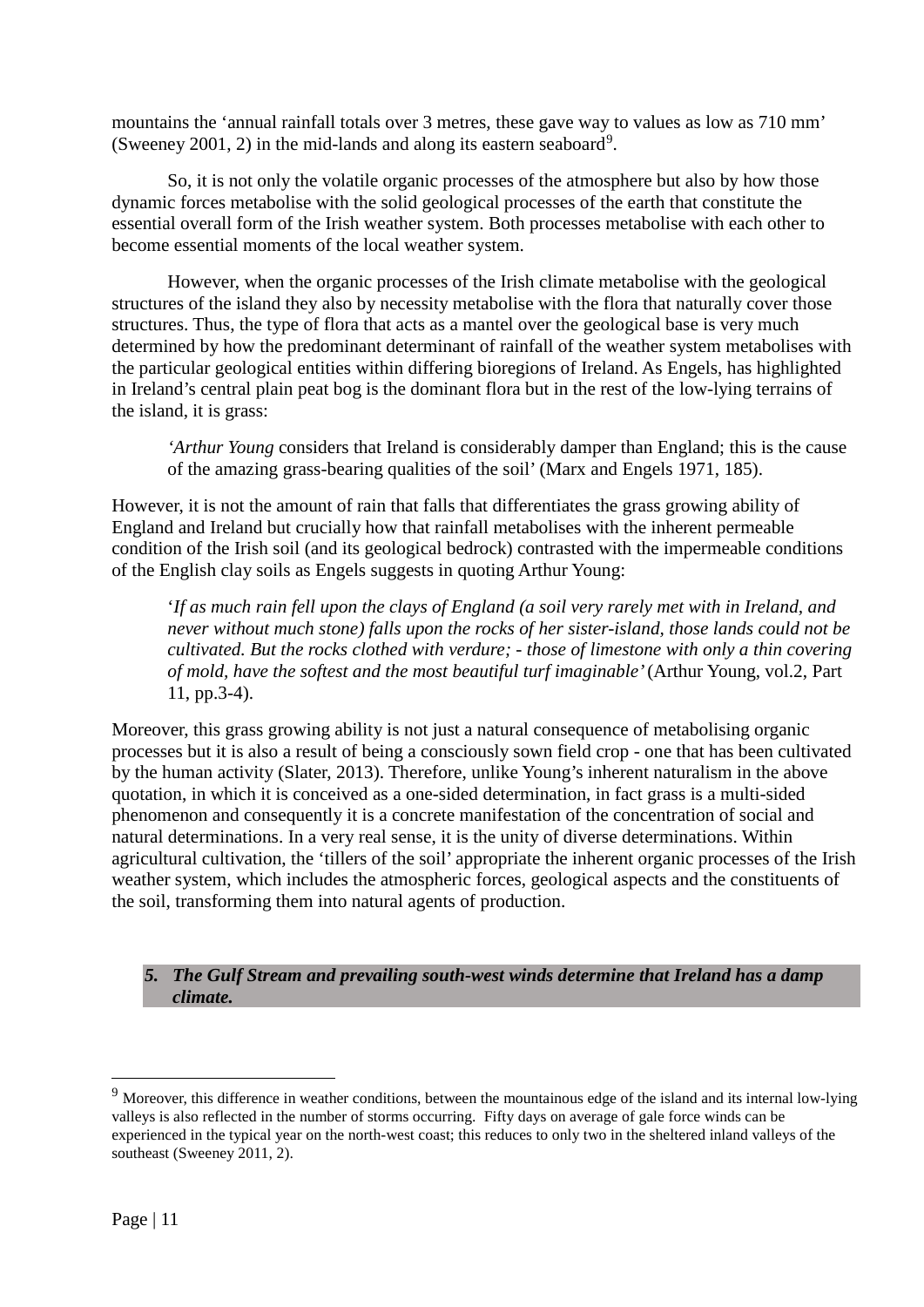mountains the 'annual rainfall totals over 3 metres, these gave way to values as low as 710 mm' (Sweeney 2001, 2) in the mid-lands and along its eastern seaboard<sup>[9](#page-11-0)</sup>.

So, it is not only the volatile organic processes of the atmosphere but also by how those dynamic forces metabolise with the solid geological processes of the earth that constitute the essential overall form of the Irish weather system. Both processes metabolise with each other to become essential moments of the local weather system.

However, when the organic processes of the Irish climate metabolise with the geological structures of the island they also by necessity metabolise with the flora that naturally cover those structures. Thus, the type of flora that acts as a mantel over the geological base is very much determined by how the predominant determinant of rainfall of the weather system metabolises with the particular geological entities within differing bioregions of Ireland. As Engels, has highlighted in Ireland's central plain peat bog is the dominant flora but in the rest of the low-lying terrains of the island, it is grass:

*'Arthur Young* considers that Ireland is considerably damper than England; this is the cause of the amazing grass-bearing qualities of the soil' (Marx and Engels 1971, 185).

However, it is not the amount of rain that falls that differentiates the grass growing ability of England and Ireland but crucially how that rainfall metabolises with the inherent permeable condition of the Irish soil (and its geological bedrock) contrasted with the impermeable conditions of the English clay soils as Engels suggests in quoting Arthur Young:

'*If as much rain fell upon the clays of England (a soil very rarely met with in Ireland, and never without much stone) falls upon the rocks of her sister-island, those lands could not be cultivated. But the rocks clothed with verdure; - those of limestone with only a thin covering of mold, have the softest and the most beautiful turf imaginable'* (Arthur Young, vol.2, Part 11, pp.3-4).

Moreover, this grass growing ability is not just a natural consequence of metabolising organic processes but it is also a result of being a consciously sown field crop - one that has been cultivated by the human activity (Slater, 2013). Therefore, unlike Young's inherent naturalism in the above quotation, in which it is conceived as a one-sided determination, in fact grass is a multi-sided phenomenon and consequently it is a concrete manifestation of the concentration of social and natural determinations. In a very real sense, it is the unity of diverse determinations. Within agricultural cultivation, the 'tillers of the soil' appropriate the inherent organic processes of the Irish weather system, which includes the atmospheric forces, geological aspects and the constituents of the soil, transforming them into natural agents of production.

*5. The Gulf Stream and prevailing south-west winds determine that Ireland has a damp climate.*

<span id="page-11-0"></span><sup>&</sup>lt;sup>9</sup> Moreover, this difference in weather conditions, between the mountainous edge of the island and its internal low-lying valleys is also reflected in the number of storms occurring. Fifty days on average of gale force winds can be experienced in the typical year on the north-west coast; this reduces to only two in the sheltered inland valleys of the southeast (Sweeney 2011, 2).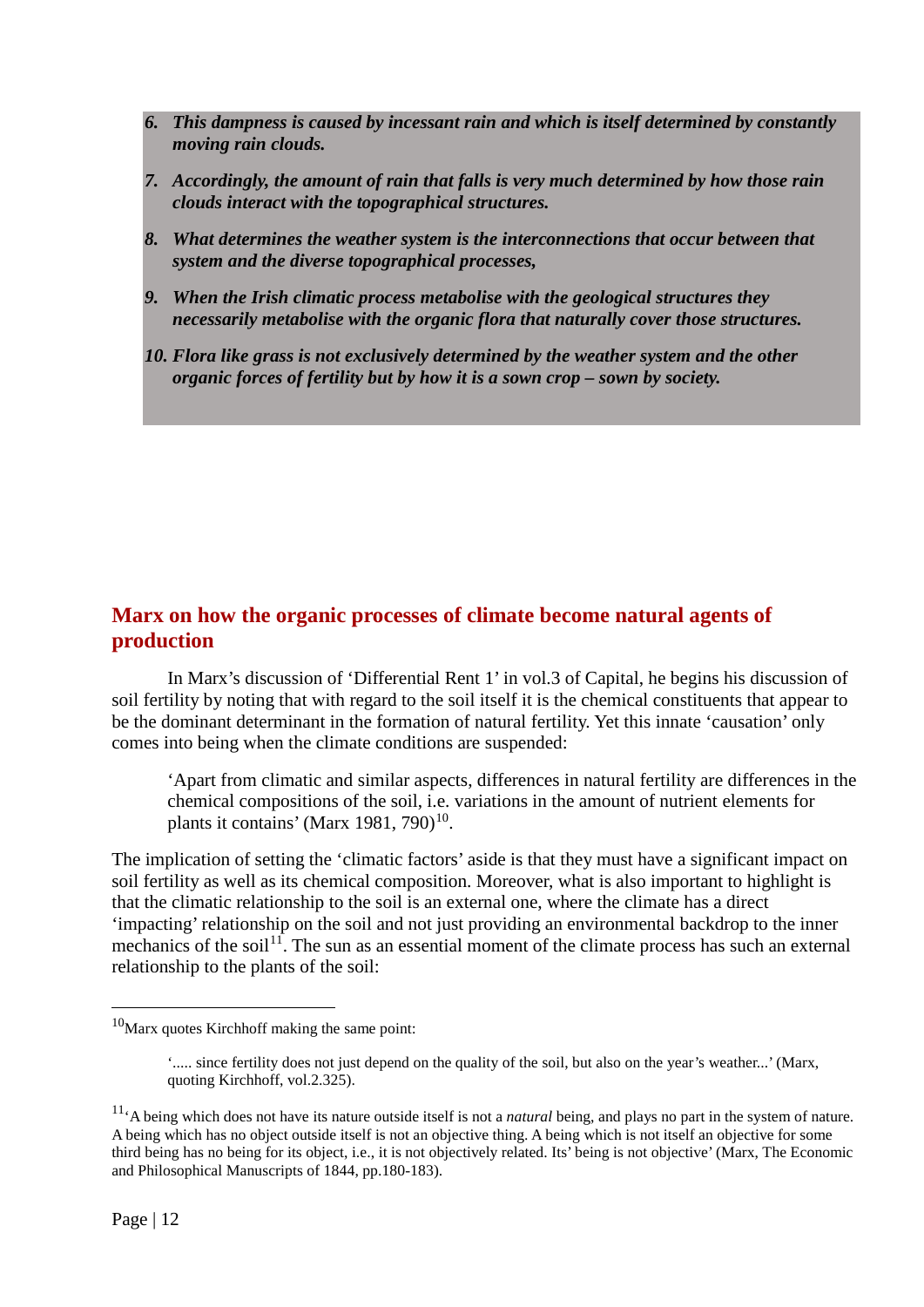- *6. This dampness is caused by incessant rain and which is itself determined by constantly moving rain clouds.*
- *7. Accordingly, the amount of rain that falls is very much determined by how those rain clouds interact with the topographical structures.*
- *8. What determines the weather system is the interconnections that occur between that system and the diverse topographical processes,*
- *9. When the Irish climatic process metabolise with the geological structures they necessarily metabolise with the organic flora that naturally cover those structures.*
- *10. Flora like grass is not exclusively determined by the weather system and the other organic forces of fertility but by how it is a sown crop – sown by society.*

# **Marx on how the organic processes of climate become natural agents of production**

In Marx's discussion of 'Differential Rent 1' in vol.3 of Capital, he begins his discussion of soil fertility by noting that with regard to the soil itself it is the chemical constituents that appear to be the dominant determinant in the formation of natural fertility. Yet this innate 'causation' only comes into being when the climate conditions are suspended:

'Apart from climatic and similar aspects, differences in natural fertility are differences in the chemical compositions of the soil, i.e. variations in the amount of nutrient elements for plants it contains' (Marx 1981, 790)<sup>[10](#page-12-0)</sup>.

The implication of setting the 'climatic factors' aside is that they must have a significant impact on soil fertility as well as its chemical composition. Moreover, what is also important to highlight is that the climatic relationship to the soil is an external one, where the climate has a direct 'impacting' relationship on the soil and not just providing an environmental backdrop to the inner mechanics of the soil<sup>[11](#page-12-1)</sup>. The sun as an essential moment of the climate process has such an external relationship to the plants of the soil:

<span id="page-12-0"></span> $10$ Marx quotes Kirchhoff making the same point:

<sup>&#</sup>x27;..... since fertility does not just depend on the quality of the soil, but also on the year's weather...' (Marx, quoting Kirchhoff, vol.2.325).

<span id="page-12-1"></span><sup>11&#</sup>x27;A being which does not have its nature outside itself is not a *natural* being, and plays no part in the system of nature. A being which has no object outside itself is not an objective thing. A being which is not itself an objective for some third being has no being for its object, i.e., it is not objectively related. Its' being is not objective' (Marx, The Economic and Philosophical Manuscripts of 1844, pp.180-183).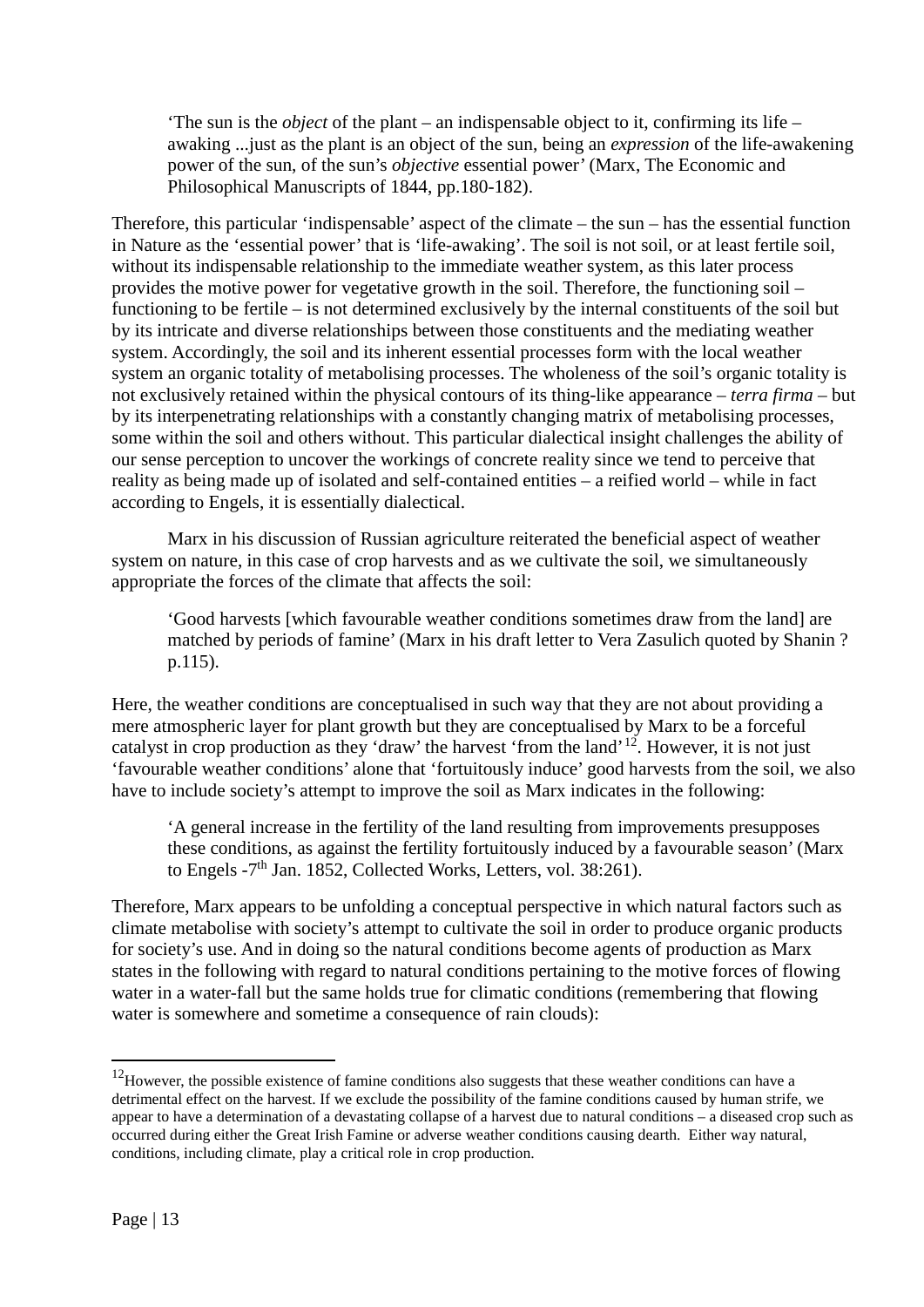'The sun is the *object* of the plant – an indispensable object to it, confirming its life – awaking ...just as the plant is an object of the sun, being an *expression* of the life-awakening power of the sun, of the sun's *objective* essential power' (Marx, The Economic and Philosophical Manuscripts of 1844, pp.180-182).

Therefore, this particular 'indispensable' aspect of the climate – the sun – has the essential function in Nature as the 'essential power' that is 'life-awaking'. The soil is not soil, or at least fertile soil, without its indispensable relationship to the immediate weather system, as this later process provides the motive power for vegetative growth in the soil. Therefore, the functioning soil – functioning to be fertile – is not determined exclusively by the internal constituents of the soil but by its intricate and diverse relationships between those constituents and the mediating weather system. Accordingly, the soil and its inherent essential processes form with the local weather system an organic totality of metabolising processes. The wholeness of the soil's organic totality is not exclusively retained within the physical contours of its thing-like appearance – *terra firma* – but by its interpenetrating relationships with a constantly changing matrix of metabolising processes, some within the soil and others without. This particular dialectical insight challenges the ability of our sense perception to uncover the workings of concrete reality since we tend to perceive that reality as being made up of isolated and self-contained entities – a reified world – while in fact according to Engels, it is essentially dialectical.

Marx in his discussion of Russian agriculture reiterated the beneficial aspect of weather system on nature, in this case of crop harvests and as we cultivate the soil, we simultaneously appropriate the forces of the climate that affects the soil:

'Good harvests [which favourable weather conditions sometimes draw from the land] are matched by periods of famine' (Marx in his draft letter to Vera Zasulich quoted by Shanin ? p.115).

Here, the weather conditions are conceptualised in such way that they are not about providing a mere atmospheric layer for plant growth but they are conceptualised by Marx to be a forceful catalyst in crop production as they 'draw' the harvest 'from the land'[12.](#page-13-0) However, it is not just 'favourable weather conditions' alone that 'fortuitously induce' good harvests from the soil, we also have to include society's attempt to improve the soil as Marx indicates in the following:

'A general increase in the fertility of the land resulting from improvements presupposes these conditions, as against the fertility fortuitously induced by a favourable season' (Marx to Engels -7<sup>th</sup> Jan. 1852, Collected Works, Letters, vol. 38:261).

Therefore, Marx appears to be unfolding a conceptual perspective in which natural factors such as climate metabolise with society's attempt to cultivate the soil in order to produce organic products for society's use. And in doing so the natural conditions become agents of production as Marx states in the following with regard to natural conditions pertaining to the motive forces of flowing water in a water-fall but the same holds true for climatic conditions (remembering that flowing water is somewhere and sometime a consequence of rain clouds):

<span id="page-13-0"></span><sup>&</sup>lt;sup>12</sup>However, the possible existence of famine conditions also suggests that these weather conditions can have a detrimental effect on the harvest. If we exclude the possibility of the famine conditions caused by human strife, we appear to have a determination of a devastating collapse of a harvest due to natural conditions – a diseased crop such as occurred during either the Great Irish Famine or adverse weather conditions causing dearth. Either way natural, conditions, including climate, play a critical role in crop production.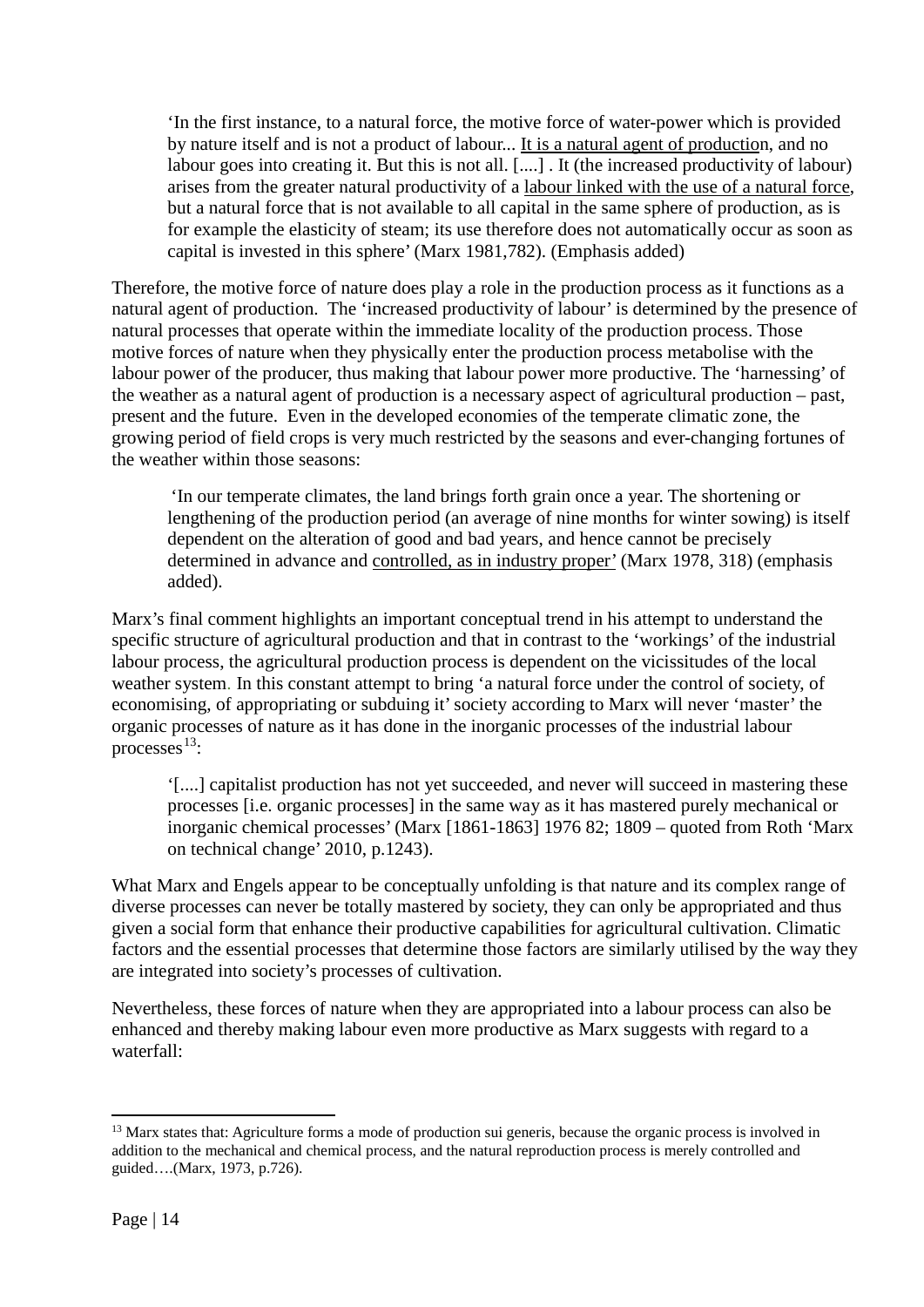'In the first instance, to a natural force, the motive force of water-power which is provided by nature itself and is not a product of labour... It is a natural agent of production, and no labour goes into creating it. But this is not all. [....] . It (the increased productivity of labour) arises from the greater natural productivity of a labour linked with the use of a natural force, but a natural force that is not available to all capital in the same sphere of production, as is for example the elasticity of steam; its use therefore does not automatically occur as soon as capital is invested in this sphere' (Marx 1981,782). (Emphasis added)

Therefore, the motive force of nature does play a role in the production process as it functions as a natural agent of production. The 'increased productivity of labour' is determined by the presence of natural processes that operate within the immediate locality of the production process. Those motive forces of nature when they physically enter the production process metabolise with the labour power of the producer, thus making that labour power more productive. The 'harnessing' of the weather as a natural agent of production is a necessary aspect of agricultural production – past, present and the future. Even in the developed economies of the temperate climatic zone, the growing period of field crops is very much restricted by the seasons and ever-changing fortunes of the weather within those seasons:

'In our temperate climates, the land brings forth grain once a year. The shortening or lengthening of the production period (an average of nine months for winter sowing) is itself dependent on the alteration of good and bad years, and hence cannot be precisely determined in advance and controlled, as in industry proper' (Marx 1978, 318) (emphasis added).

Marx's final comment highlights an important conceptual trend in his attempt to understand the specific structure of agricultural production and that in contrast to the 'workings' of the industrial labour process, the agricultural production process is dependent on the vicissitudes of the local weather system. In this constant attempt to bring 'a natural force under the control of society, of economising, of appropriating or subduing it' society according to Marx will never 'master' the organic processes of nature as it has done in the inorganic processes of the industrial labour processes $^{13}$ :

'[....] capitalist production has not yet succeeded, and never will succeed in mastering these processes [i.e. organic processes] in the same way as it has mastered purely mechanical or inorganic chemical processes' (Marx [1861-1863] 1976 82; 1809 – quoted from Roth 'Marx on technical change' 2010, p.1243).

What Marx and Engels appear to be conceptually unfolding is that nature and its complex range of diverse processes can never be totally mastered by society, they can only be appropriated and thus given a social form that enhance their productive capabilities for agricultural cultivation. Climatic factors and the essential processes that determine those factors are similarly utilised by the way they are integrated into society's processes of cultivation.

Nevertheless, these forces of nature when they are appropriated into a labour process can also be enhanced and thereby making labour even more productive as Marx suggests with regard to a waterfall:

<span id="page-14-0"></span><sup>&</sup>lt;sup>13</sup> Marx states that: Agriculture forms a mode of production sui generis, because the organic process is involved in addition to the mechanical and chemical process, and the natural reproduction process is merely controlled and guided….(Marx, 1973, p.726).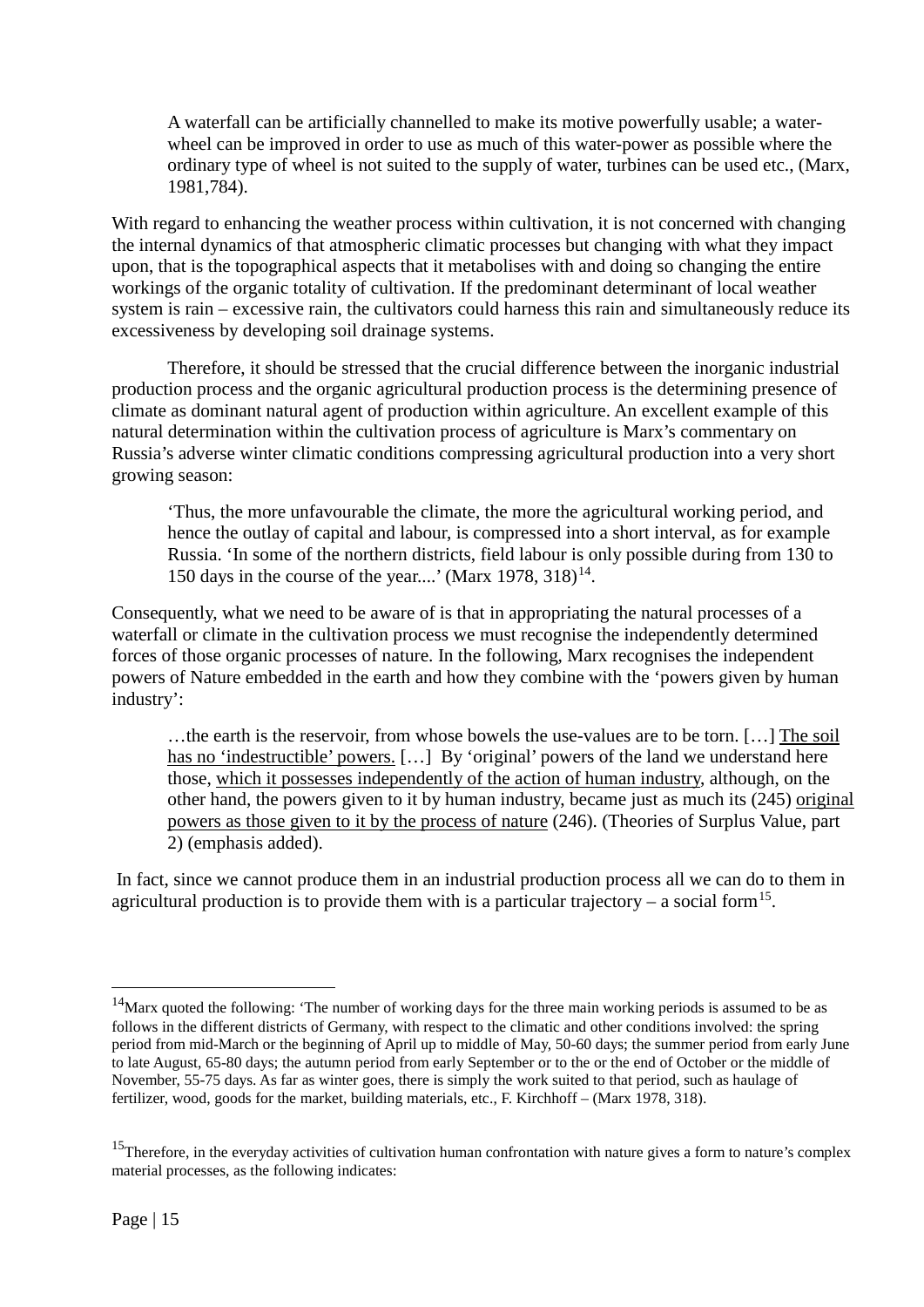A waterfall can be artificially channelled to make its motive powerfully usable; a waterwheel can be improved in order to use as much of this water-power as possible where the ordinary type of wheel is not suited to the supply of water, turbines can be used etc., (Marx, 1981,784).

With regard to enhancing the weather process within cultivation, it is not concerned with changing the internal dynamics of that atmospheric climatic processes but changing with what they impact upon, that is the topographical aspects that it metabolises with and doing so changing the entire workings of the organic totality of cultivation. If the predominant determinant of local weather system is rain – excessive rain, the cultivators could harness this rain and simultaneously reduce its excessiveness by developing soil drainage systems.

Therefore, it should be stressed that the crucial difference between the inorganic industrial production process and the organic agricultural production process is the determining presence of climate as dominant natural agent of production within agriculture. An excellent example of this natural determination within the cultivation process of agriculture is Marx's commentary on Russia's adverse winter climatic conditions compressing agricultural production into a very short growing season:

'Thus, the more unfavourable the climate, the more the agricultural working period, and hence the outlay of capital and labour, is compressed into a short interval, as for example Russia. 'In some of the northern districts, field labour is only possible during from 130 to 150 days in the course of the year....' (Marx 1978,  $318$ )<sup>14</sup>.

Consequently, what we need to be aware of is that in appropriating the natural processes of a waterfall or climate in the cultivation process we must recognise the independently determined forces of those organic processes of nature. In the following, Marx recognises the independent powers of Nature embedded in the earth and how they combine with the 'powers given by human industry':

…the earth is the reservoir, from whose bowels the use-values are to be torn. […] The soil has no 'indestructible' powers. [...] By 'original' powers of the land we understand here those, which it possesses independently of the action of human industry, although, on the other hand, the powers given to it by human industry, became just as much its (245) original powers as those given to it by the process of nature (246). (Theories of Surplus Value, part 2) (emphasis added).

In fact, since we cannot produce them in an industrial production process all we can do to them in agricultural production is to provide them with is a particular trajectory – a social form<sup>[15](#page-15-1)</sup>.

<span id="page-15-0"></span> $14$ Marx quoted the following: 'The number of working days for the three main working periods is assumed to be as follows in the different districts of Germany, with respect to the climatic and other conditions involved: the spring period from mid-March or the beginning of April up to middle of May, 50-60 days; the summer period from early June to late August, 65-80 days; the autumn period from early September or to the or the end of October or the middle of November, 55-75 days. As far as winter goes, there is simply the work suited to that period, such as haulage of fertilizer, wood, goods for the market, building materials, etc., F. Kirchhoff – (Marx 1978, 318).

<span id="page-15-1"></span><sup>&</sup>lt;sup>15</sup>Therefore, in the everyday activities of cultivation human confrontation with nature gives a form to nature's complex material processes, as the following indicates: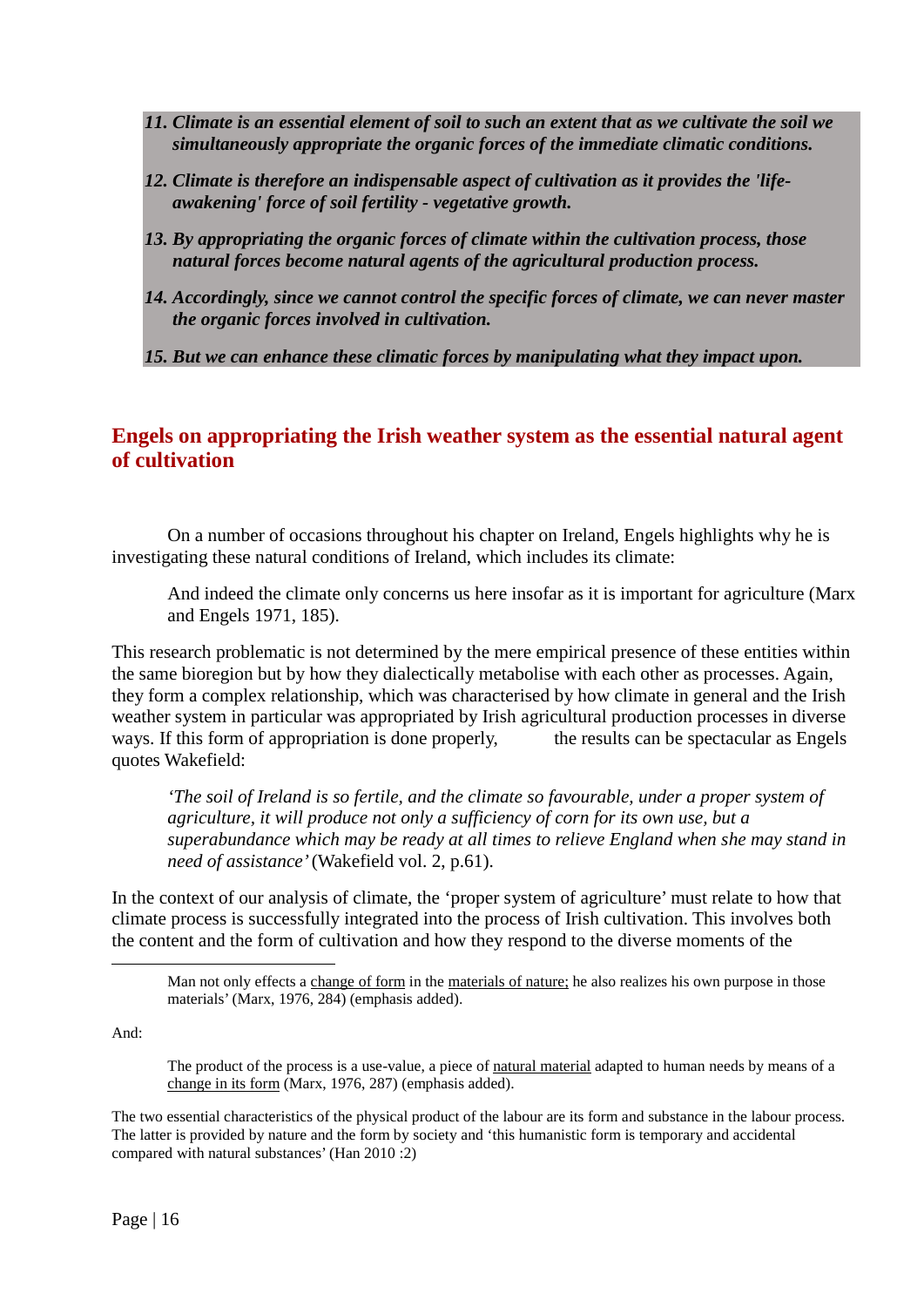- *11. Climate is an essential element of soil to such an extent that as we cultivate the soil we simultaneously appropriate the organic forces of the immediate climatic conditions.*
- *12. Climate is therefore an indispensable aspect of cultivation as it provides the 'lifeawakening' force of soil fertility - vegetative growth.*
- *13. By appropriating the organic forces of climate within the cultivation process, those natural forces become natural agents of the agricultural production process.*
- *14. Accordingly, since we cannot control the specific forces of climate, we can never master the organic forces involved in cultivation.*

*15. But we can enhance these climatic forces by manipulating what they impact upon.*

## **Engels on appropriating the Irish weather system as the essential natural agent of cultivation**

On a number of occasions throughout his chapter on Ireland, Engels highlights why he is investigating these natural conditions of Ireland, which includes its climate:

And indeed the climate only concerns us here insofar as it is important for agriculture (Marx and Engels 1971, 185).

This research problematic is not determined by the mere empirical presence of these entities within the same bioregion but by how they dialectically metabolise with each other as processes. Again, they form a complex relationship, which was characterised by how climate in general and the Irish weather system in particular was appropriated by Irish agricultural production processes in diverse ways. If this form of appropriation is done properly, the results can be spectacular as Engels quotes Wakefield:

*'The soil of Ireland is so fertile, and the climate so favourable, under a proper system of agriculture, it will produce not only a sufficiency of corn for its own use, but a superabundance which may be ready at all times to relieve England when she may stand in need of assistance'* (Wakefield vol. 2, p.61).

In the context of our analysis of climate, the 'proper system of agriculture' must relate to how that climate process is successfully integrated into the process of Irish cultivation. This involves both the content and the form of cultivation and how they respond to the diverse moments of the

And:

**.** 

The product of the process is a use-value, a piece of natural material adapted to human needs by means of a change in its form (Marx, 1976, 287) (emphasis added).

The two essential characteristics of the physical product of the labour are its form and substance in the labour process. The latter is provided by nature and the form by society and 'this humanistic form is temporary and accidental compared with natural substances' (Han 2010 :2)

Man not only effects a change of form in the materials of nature; he also realizes his own purpose in those materials' (Marx, 1976, 284) (emphasis added).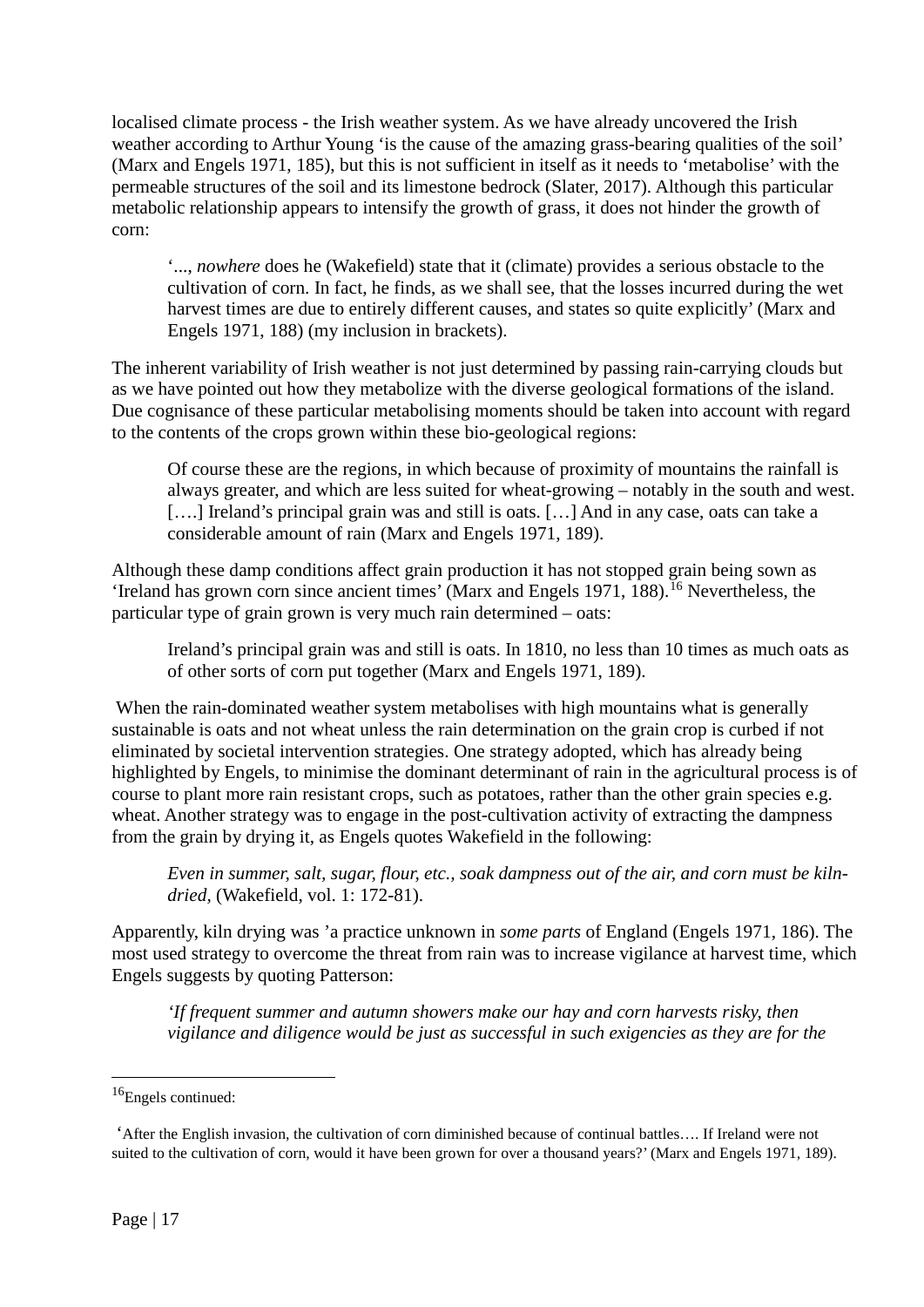localised climate process - the Irish weather system. As we have already uncovered the Irish weather according to Arthur Young 'is the cause of the amazing grass-bearing qualities of the soil' (Marx and Engels 1971, 185), but this is not sufficient in itself as it needs to 'metabolise' with the permeable structures of the soil and its limestone bedrock (Slater, 2017). Although this particular metabolic relationship appears to intensify the growth of grass, it does not hinder the growth of corn:

'..., *nowhere* does he (Wakefield) state that it (climate) provides a serious obstacle to the cultivation of corn. In fact, he finds, as we shall see, that the losses incurred during the wet harvest times are due to entirely different causes, and states so quite explicitly' (Marx and Engels 1971, 188) (my inclusion in brackets).

The inherent variability of Irish weather is not just determined by passing rain-carrying clouds but as we have pointed out how they metabolize with the diverse geological formations of the island. Due cognisance of these particular metabolising moments should be taken into account with regard to the contents of the crops grown within these bio-geological regions:

Of course these are the regions, in which because of proximity of mountains the rainfall is always greater, and which are less suited for wheat-growing – notably in the south and west. [....] Ireland's principal grain was and still is oats. [...] And in any case, oats can take a considerable amount of rain (Marx and Engels 1971, 189).

Although these damp conditions affect grain production it has not stopped grain being sown as 'Ireland has grown corn since ancient times' (Marx and Engels 1971, 188).[16](#page-17-0) Nevertheless, the particular type of grain grown is very much rain determined – oats:

Ireland's principal grain was and still is oats. In 1810, no less than 10 times as much oats as of other sorts of corn put together (Marx and Engels 1971, 189).

When the rain-dominated weather system metabolises with high mountains what is generally sustainable is oats and not wheat unless the rain determination on the grain crop is curbed if not eliminated by societal intervention strategies. One strategy adopted, which has already being highlighted by Engels, to minimise the dominant determinant of rain in the agricultural process is of course to plant more rain resistant crops, such as potatoes, rather than the other grain species e.g. wheat. Another strategy was to engage in the post-cultivation activity of extracting the dampness from the grain by drying it, as Engels quotes Wakefield in the following:

*Even in summer, salt, sugar, flour, etc., soak dampness out of the air, and corn must be kilndried,* (Wakefield, vol. 1: 172-81).

Apparently, kiln drying was 'a practice unknown in *some parts* of England (Engels 1971, 186). The most used strategy to overcome the threat from rain was to increase vigilance at harvest time, which Engels suggests by quoting Patterson:

*'If frequent summer and autumn showers make our hay and corn harvests risky, then vigilance and diligence would be just as successful in such exigencies as they are for the* 

<span id="page-17-0"></span><sup>&</sup>lt;sup>16</sup>Engels continued:

<sup>&#</sup>x27;After the English invasion, the cultivation of corn diminished because of continual battles…. If Ireland were not suited to the cultivation of corn, would it have been grown for over a thousand years?' (Marx and Engels 1971, 189).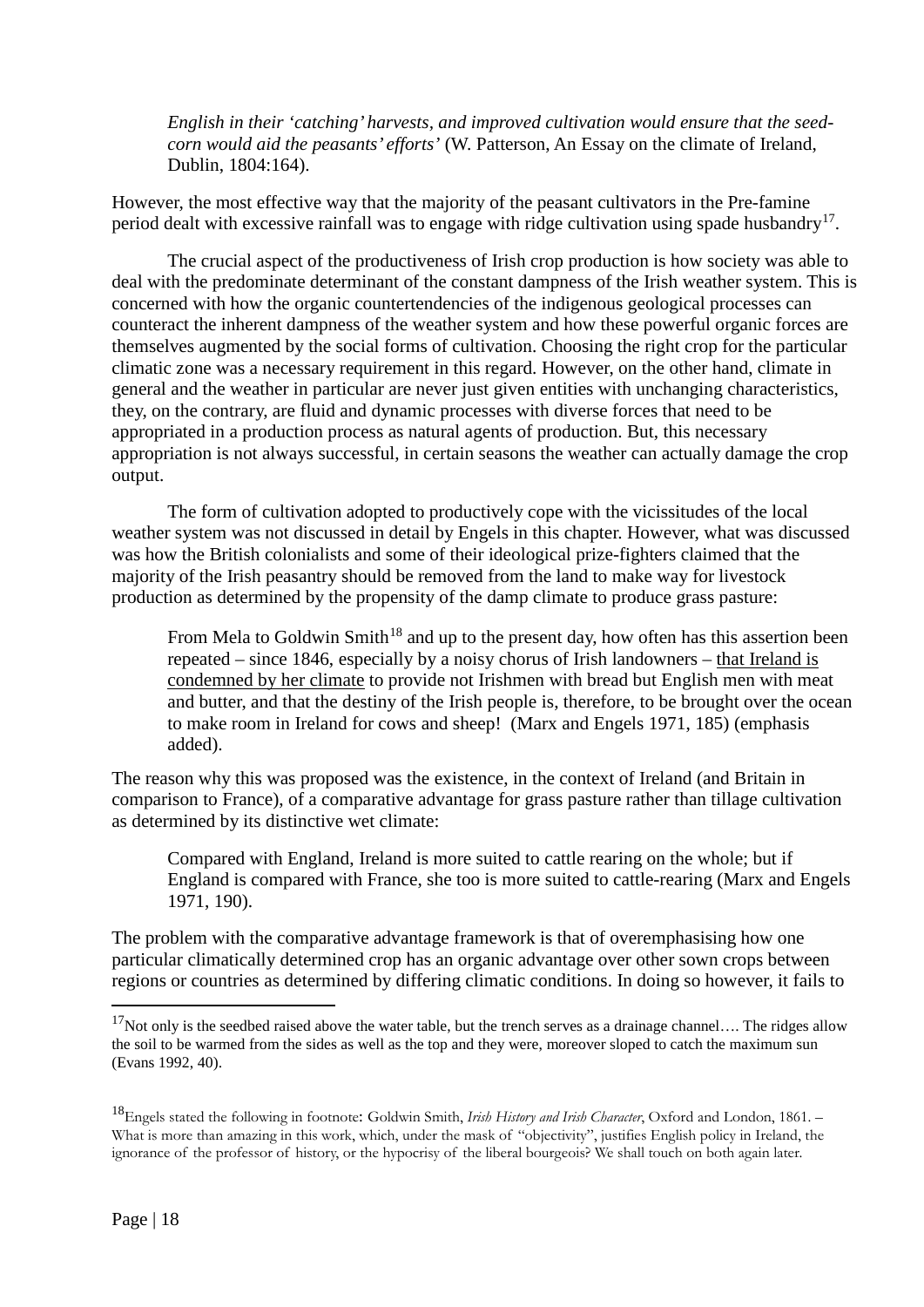*English in their 'catching' harvests, and improved cultivation would ensure that the seedcorn would aid the peasants' efforts'* (W. Patterson, An Essay on the climate of Ireland, Dublin, 1804:164).

However, the most effective way that the majority of the peasant cultivators in the Pre-famine period dealt with excessive rainfall was to engage with ridge cultivation using spade husbandry<sup>[17](#page-18-0)</sup>.

The crucial aspect of the productiveness of Irish crop production is how society was able to deal with the predominate determinant of the constant dampness of the Irish weather system. This is concerned with how the organic countertendencies of the indigenous geological processes can counteract the inherent dampness of the weather system and how these powerful organic forces are themselves augmented by the social forms of cultivation. Choosing the right crop for the particular climatic zone was a necessary requirement in this regard. However, on the other hand, climate in general and the weather in particular are never just given entities with unchanging characteristics, they, on the contrary, are fluid and dynamic processes with diverse forces that need to be appropriated in a production process as natural agents of production. But, this necessary appropriation is not always successful, in certain seasons the weather can actually damage the crop output.

The form of cultivation adopted to productively cope with the vicissitudes of the local weather system was not discussed in detail by Engels in this chapter. However, what was discussed was how the British colonialists and some of their ideological prize-fighters claimed that the majority of the Irish peasantry should be removed from the land to make way for livestock production as determined by the propensity of the damp climate to produce grass pasture:

From Mela to Goldwin Smith<sup>[18](#page-18-1)</sup> and up to the present day, how often has this assertion been repeated – since 1846, especially by a noisy chorus of Irish landowners – that Ireland is condemned by her climate to provide not Irishmen with bread but English men with meat and butter, and that the destiny of the Irish people is, therefore, to be brought over the ocean to make room in Ireland for cows and sheep! (Marx and Engels 1971, 185) (emphasis added).

The reason why this was proposed was the existence, in the context of Ireland (and Britain in comparison to France), of a comparative advantage for grass pasture rather than tillage cultivation as determined by its distinctive wet climate:

Compared with England, Ireland is more suited to cattle rearing on the whole; but if England is compared with France, she too is more suited to cattle-rearing (Marx and Engels 1971, 190).

The problem with the comparative advantage framework is that of overemphasising how one particular climatically determined crop has an organic advantage over other sown crops between regions or countries as determined by differing climatic conditions. In doing so however, it fails to

<span id="page-18-0"></span> $17$ Not only is the seedbed raised above the water table, but the trench serves as a drainage channel.... The ridges allow the soil to be warmed from the sides as well as the top and they were, moreover sloped to catch the maximum sun (Evans 1992, 40).

<span id="page-18-1"></span><sup>18</sup>Engels stated the following in footnote: Goldwin Smith, *Irish History and Irish Character*, Oxford and London, 1861. – What is more than amazing in this work, which, under the mask of "objectivity", justifies English policy in Ireland, the ignorance of the professor of history, or the hypocrisy of the liberal bourgeois? We shall touch on both again later.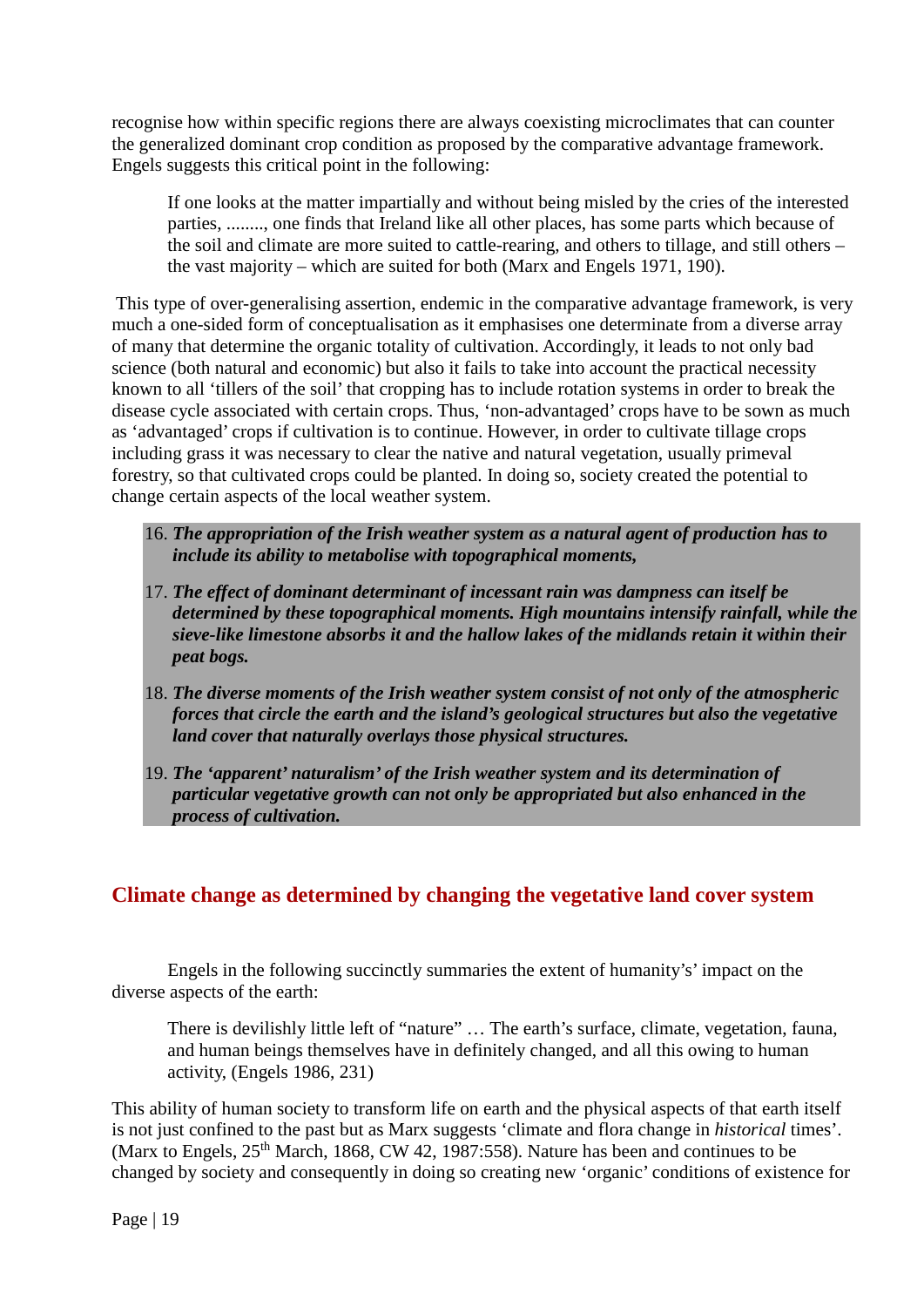recognise how within specific regions there are always coexisting microclimates that can counter the generalized dominant crop condition as proposed by the comparative advantage framework. Engels suggests this critical point in the following:

If one looks at the matter impartially and without being misled by the cries of the interested parties, ........, one finds that Ireland like all other places, has some parts which because of the soil and climate are more suited to cattle-rearing, and others to tillage, and still others – the vast majority – which are suited for both (Marx and Engels 1971, 190).

This type of over-generalising assertion, endemic in the comparative advantage framework, is very much a one-sided form of conceptualisation as it emphasises one determinate from a diverse array of many that determine the organic totality of cultivation. Accordingly, it leads to not only bad science (both natural and economic) but also it fails to take into account the practical necessity known to all 'tillers of the soil' that cropping has to include rotation systems in order to break the disease cycle associated with certain crops. Thus, 'non-advantaged' crops have to be sown as much as 'advantaged' crops if cultivation is to continue. However, in order to cultivate tillage crops including grass it was necessary to clear the native and natural vegetation, usually primeval forestry, so that cultivated crops could be planted. In doing so, society created the potential to change certain aspects of the local weather system.

- 16. *The appropriation of the Irish weather system as a natural agent of production has to include its ability to metabolise with topographical moments,*
- 17. *The effect of dominant determinant of incessant rain was dampness can itself be determined by these topographical moments. High mountains intensify rainfall, while the sieve-like limestone absorbs it and the hallow lakes of the midlands retain it within their peat bogs.*
- 18. *The diverse moments of the Irish weather system consist of not only of the atmospheric forces that circle the earth and the island's geological structures but also the vegetative land cover that naturally overlays those physical structures.*
- 19. *The 'apparent' naturalism' of the Irish weather system and its determination of particular vegetative growth can not only be appropriated but also enhanced in the process of cultivation.*

### **Climate change as determined by changing the vegetative land cover system**

Engels in the following succinctly summaries the extent of humanity's' impact on the diverse aspects of the earth:

There is devilishly little left of "nature" … The earth's surface, climate, vegetation, fauna, and human beings themselves have in definitely changed, and all this owing to human activity, (Engels 1986, 231)

This ability of human society to transform life on earth and the physical aspects of that earth itself is not just confined to the past but as Marx suggests 'climate and flora change in *historical* times'. (Marx to Engels,  $25<sup>th</sup>$  March, 1868, CW 42, 1987:558). Nature has been and continues to be changed by society and consequently in doing so creating new 'organic' conditions of existence for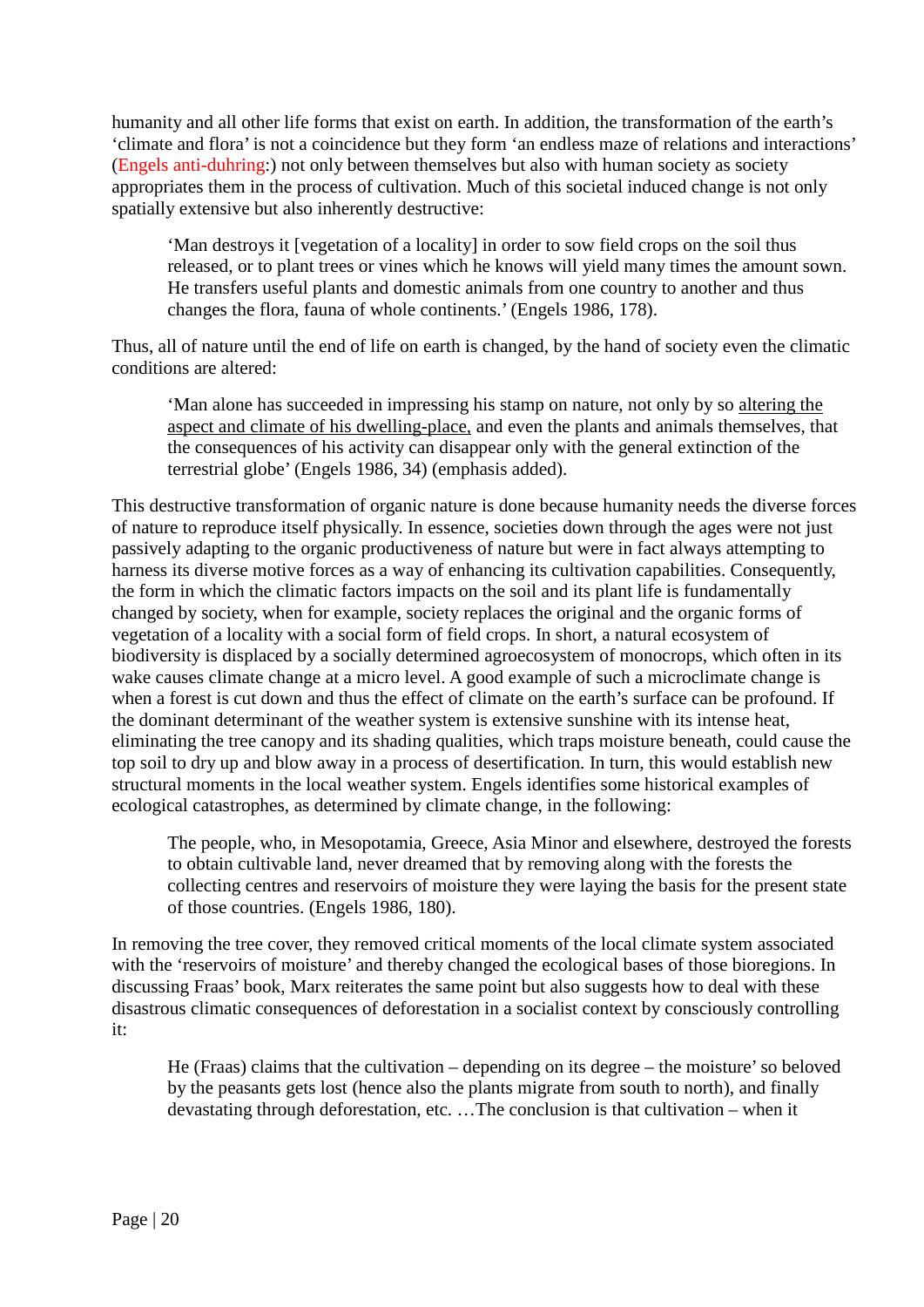humanity and all other life forms that exist on earth. In addition, the transformation of the earth's 'climate and flora' is not a coincidence but they form 'an endless maze of relations and interactions' (Engels anti-duhring:) not only between themselves but also with human society as society appropriates them in the process of cultivation. Much of this societal induced change is not only spatially extensive but also inherently destructive:

'Man destroys it [vegetation of a locality] in order to sow field crops on the soil thus released, or to plant trees or vines which he knows will yield many times the amount sown. He transfers useful plants and domestic animals from one country to another and thus changes the flora, fauna of whole continents.' (Engels 1986, 178).

Thus, all of nature until the end of life on earth is changed, by the hand of society even the climatic conditions are altered:

'Man alone has succeeded in impressing his stamp on nature, not only by so altering the aspect and climate of his dwelling-place, and even the plants and animals themselves, that the consequences of his activity can disappear only with the general extinction of the terrestrial globe' (Engels 1986, 34) (emphasis added).

This destructive transformation of organic nature is done because humanity needs the diverse forces of nature to reproduce itself physically. In essence, societies down through the ages were not just passively adapting to the organic productiveness of nature but were in fact always attempting to harness its diverse motive forces as a way of enhancing its cultivation capabilities. Consequently, the form in which the climatic factors impacts on the soil and its plant life is fundamentally changed by society, when for example, society replaces the original and the organic forms of vegetation of a locality with a social form of field crops. In short, a natural ecosystem of biodiversity is displaced by a socially determined agroecosystem of monocrops, which often in its wake causes climate change at a micro level. A good example of such a microclimate change is when a forest is cut down and thus the effect of climate on the earth's surface can be profound. If the dominant determinant of the weather system is extensive sunshine with its intense heat, eliminating the tree canopy and its shading qualities, which traps moisture beneath, could cause the top soil to dry up and blow away in a process of desertification. In turn, this would establish new structural moments in the local weather system. Engels identifies some historical examples of ecological catastrophes, as determined by climate change, in the following:

The people, who, in Mesopotamia, Greece, Asia Minor and elsewhere, destroyed the forests to obtain cultivable land, never dreamed that by removing along with the forests the collecting centres and reservoirs of moisture they were laying the basis for the present state of those countries. (Engels 1986, 180).

In removing the tree cover, they removed critical moments of the local climate system associated with the 'reservoirs of moisture' and thereby changed the ecological bases of those bioregions. In discussing Fraas' book, Marx reiterates the same point but also suggests how to deal with these disastrous climatic consequences of deforestation in a socialist context by consciously controlling it:

He (Fraas) claims that the cultivation – depending on its degree – the moisture' so beloved by the peasants gets lost (hence also the plants migrate from south to north), and finally devastating through deforestation, etc. …The conclusion is that cultivation – when it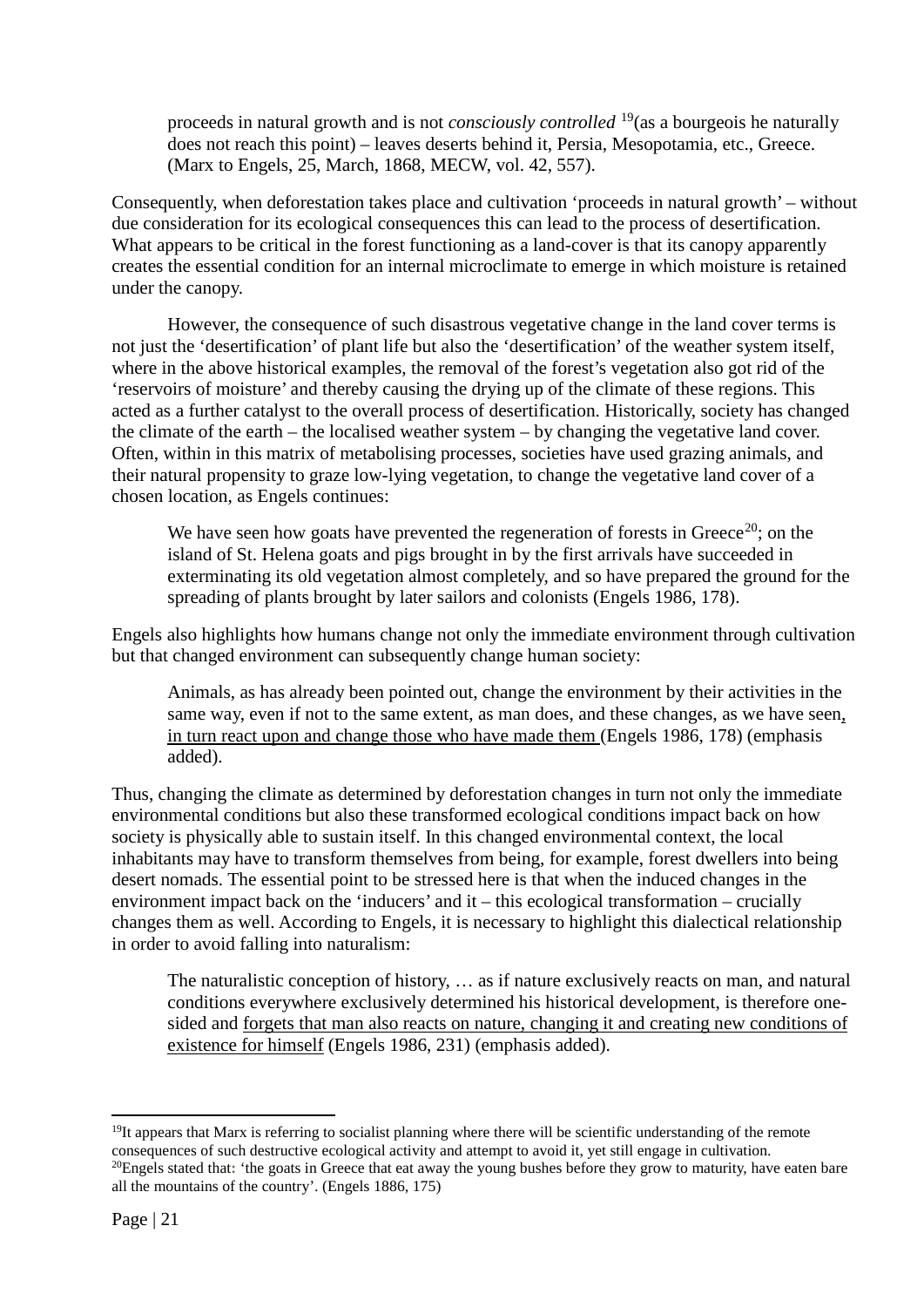proceeds in natural growth and is not *consciously controlled* [19](#page-21-0)(as a bourgeois he naturally does not reach this point) – leaves deserts behind it, Persia, Mesopotamia, etc., Greece. (Marx to Engels, 25, March, 1868, MECW, vol. 42, 557).

Consequently, when deforestation takes place and cultivation 'proceeds in natural growth' – without due consideration for its ecological consequences this can lead to the process of desertification. What appears to be critical in the forest functioning as a land-cover is that its canopy apparently creates the essential condition for an internal microclimate to emerge in which moisture is retained under the canopy.

However, the consequence of such disastrous vegetative change in the land cover terms is not just the 'desertification' of plant life but also the 'desertification' of the weather system itself, where in the above historical examples, the removal of the forest's vegetation also got rid of the 'reservoirs of moisture' and thereby causing the drying up of the climate of these regions. This acted as a further catalyst to the overall process of desertification. Historically, society has changed the climate of the earth – the localised weather system – by changing the vegetative land cover. Often, within in this matrix of metabolising processes, societies have used grazing animals, and their natural propensity to graze low-lying vegetation, to change the vegetative land cover of a chosen location, as Engels continues:

We have seen how goats have prevented the regeneration of forests in Greece<sup>[20](#page-21-1)</sup>; on the island of St. Helena goats and pigs brought in by the first arrivals have succeeded in exterminating its old vegetation almost completely, and so have prepared the ground for the spreading of plants brought by later sailors and colonists (Engels 1986, 178).

Engels also highlights how humans change not only the immediate environment through cultivation but that changed environment can subsequently change human society:

Animals, as has already been pointed out, change the environment by their activities in the same way, even if not to the same extent, as man does, and these changes, as we have seen, in turn react upon and change those who have made them (Engels 1986, 178) (emphasis added).

Thus, changing the climate as determined by deforestation changes in turn not only the immediate environmental conditions but also these transformed ecological conditions impact back on how society is physically able to sustain itself. In this changed environmental context, the local inhabitants may have to transform themselves from being, for example, forest dwellers into being desert nomads. The essential point to be stressed here is that when the induced changes in the environment impact back on the 'inducers' and it – this ecological transformation – crucially changes them as well. According to Engels, it is necessary to highlight this dialectical relationship in order to avoid falling into naturalism:

The naturalistic conception of history, … as if nature exclusively reacts on man, and natural conditions everywhere exclusively determined his historical development, is therefore onesided and forgets that man also reacts on nature, changing it and creating new conditions of existence for himself (Engels 1986, 231) (emphasis added).

<span id="page-21-1"></span><span id="page-21-0"></span><sup>&</sup>lt;sup>19</sup>It appears that Marx is referring to socialist planning where there will be scientific understanding of the remote consequences of such destructive ecological activity and attempt to avoid it, yet still engage in cultivation. <sup>20</sup>Engels stated that: 'the goats in Greece that eat away the young bushes before they grow to maturity, have eaten bare all the mountains of the country'. (Engels 1886, 175)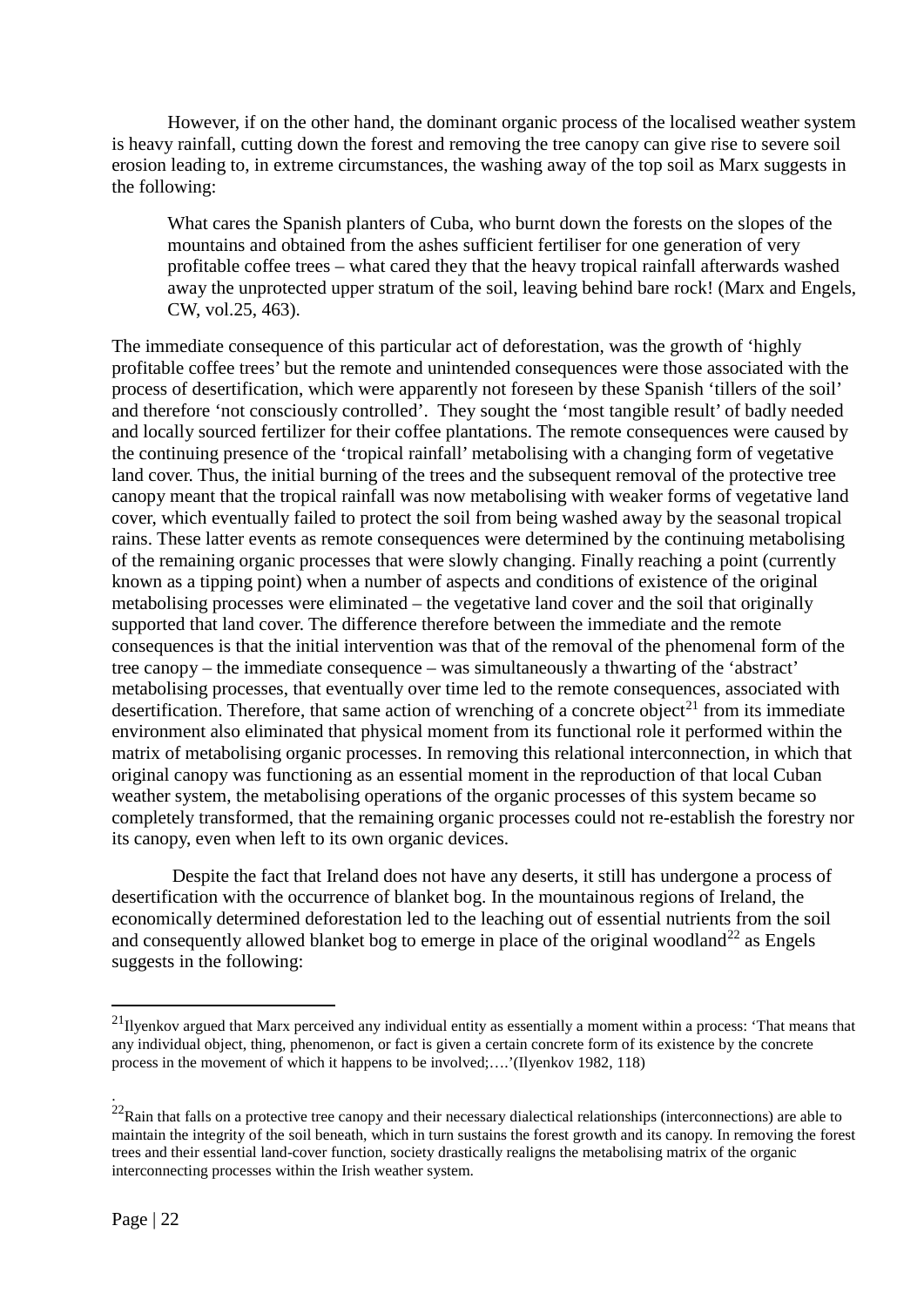However, if on the other hand, the dominant organic process of the localised weather system is heavy rainfall, cutting down the forest and removing the tree canopy can give rise to severe soil erosion leading to, in extreme circumstances, the washing away of the top soil as Marx suggests in the following:

What cares the Spanish planters of Cuba, who burnt down the forests on the slopes of the mountains and obtained from the ashes sufficient fertiliser for one generation of very profitable coffee trees – what cared they that the heavy tropical rainfall afterwards washed away the unprotected upper stratum of the soil, leaving behind bare rock! (Marx and Engels, CW, vol.25, 463).

The immediate consequence of this particular act of deforestation, was the growth of 'highly profitable coffee trees' but the remote and unintended consequences were those associated with the process of desertification, which were apparently not foreseen by these Spanish 'tillers of the soil' and therefore 'not consciously controlled'. They sought the 'most tangible result' of badly needed and locally sourced fertilizer for their coffee plantations. The remote consequences were caused by the continuing presence of the 'tropical rainfall' metabolising with a changing form of vegetative land cover. Thus, the initial burning of the trees and the subsequent removal of the protective tree canopy meant that the tropical rainfall was now metabolising with weaker forms of vegetative land cover, which eventually failed to protect the soil from being washed away by the seasonal tropical rains. These latter events as remote consequences were determined by the continuing metabolising of the remaining organic processes that were slowly changing. Finally reaching a point (currently known as a tipping point) when a number of aspects and conditions of existence of the original metabolising processes were eliminated – the vegetative land cover and the soil that originally supported that land cover. The difference therefore between the immediate and the remote consequences is that the initial intervention was that of the removal of the phenomenal form of the tree canopy – the immediate consequence – was simultaneously a thwarting of the 'abstract' metabolising processes, that eventually over time led to the remote consequences, associated with desertification. Therefore, that same action of wrenching of a concrete object<sup>[21](#page-22-0)</sup> from its immediate environment also eliminated that physical moment from its functional role it performed within the matrix of metabolising organic processes. In removing this relational interconnection, in which that original canopy was functioning as an essential moment in the reproduction of that local Cuban weather system, the metabolising operations of the organic processes of this system became so completely transformed, that the remaining organic processes could not re-establish the forestry nor its canopy, even when left to its own organic devices.

Despite the fact that Ireland does not have any deserts, it still has undergone a process of desertification with the occurrence of blanket bog. In the mountainous regions of Ireland, the economically determined deforestation led to the leaching out of essential nutrients from the soil and consequently allowed blanket bog to emerge in place of the original woodland<sup>[22](#page-22-1)</sup> as Engels suggests in the following:

**.** 

<span id="page-22-0"></span> $^{21}$ Ilyenkov argued that Marx perceived any individual entity as essentially a moment within a process: 'That means that any individual object, thing, phenomenon, or fact is given a certain concrete form of its existence by the concrete process in the movement of which it happens to be involved;….'(Ilyenkov 1982, 118)

<span id="page-22-1"></span> $^{22}$ Rain that falls on a protective tree canopy and their necessary dialectical relationships (interconnections) are able to maintain the integrity of the soil beneath, which in turn sustains the forest growth and its canopy. In removing the forest trees and their essential land-cover function, society drastically realigns the metabolising matrix of the organic interconnecting processes within the Irish weather system.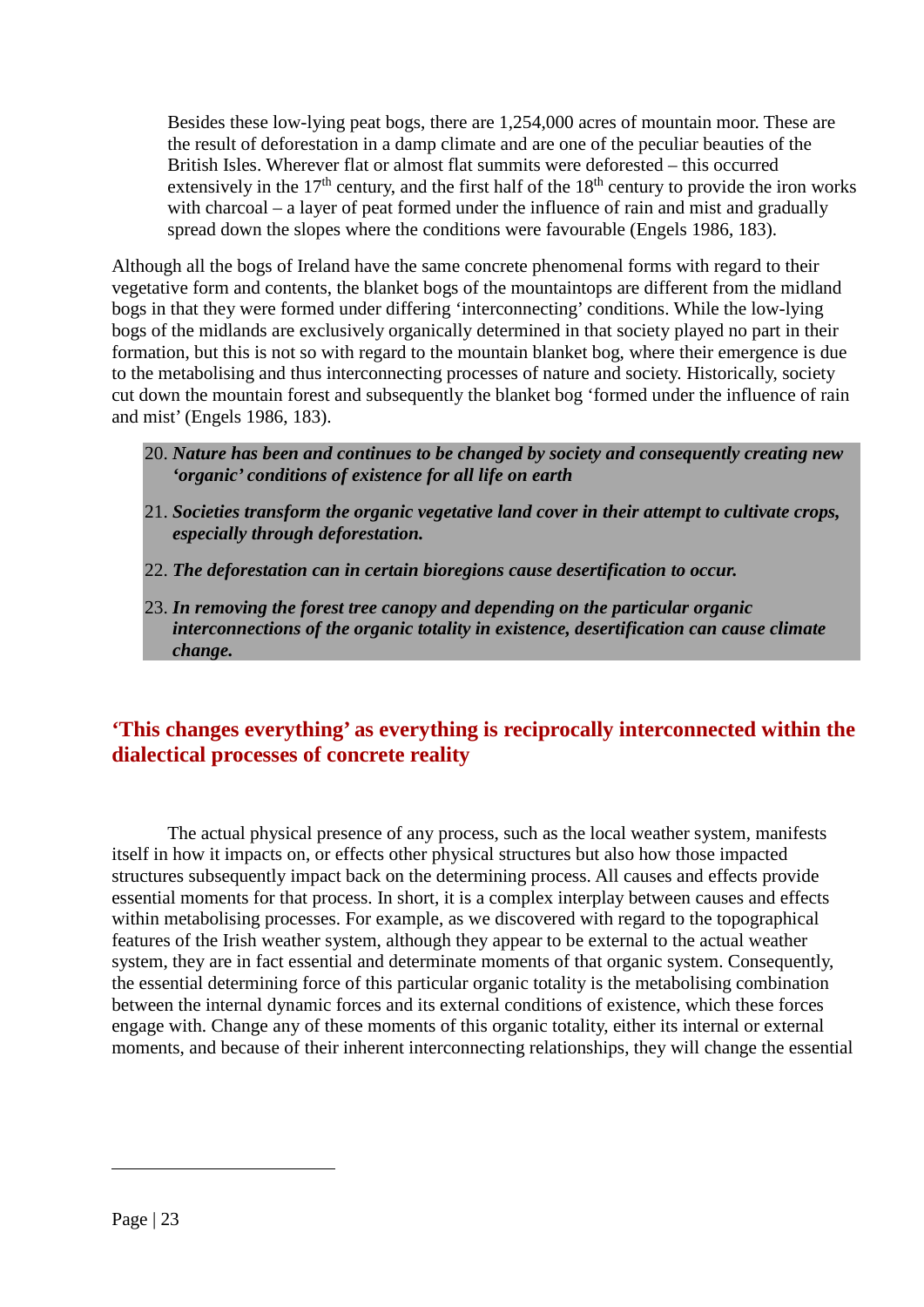Besides these low-lying peat bogs, there are 1,254,000 acres of mountain moor. These are the result of deforestation in a damp climate and are one of the peculiar beauties of the British Isles. Wherever flat or almost flat summits were deforested – this occurred extensively in the  $17<sup>th</sup>$  century, and the first half of the  $18<sup>th</sup>$  century to provide the iron works with charcoal – a layer of peat formed under the influence of rain and mist and gradually spread down the slopes where the conditions were favourable (Engels 1986, 183).

Although all the bogs of Ireland have the same concrete phenomenal forms with regard to their vegetative form and contents, the blanket bogs of the mountaintops are different from the midland bogs in that they were formed under differing 'interconnecting' conditions. While the low-lying bogs of the midlands are exclusively organically determined in that society played no part in their formation, but this is not so with regard to the mountain blanket bog, where their emergence is due to the metabolising and thus interconnecting processes of nature and society. Historically, society cut down the mountain forest and subsequently the blanket bog 'formed under the influence of rain and mist' (Engels 1986, 183).

- 20. *Nature has been and continues to be changed by society and consequently creating new 'organic' conditions of existence for all life on earth*
- 21. *Societies transform the organic vegetative land cover in their attempt to cultivate crops, especially through deforestation.*
- 22. *The deforestation can in certain bioregions cause desertification to occur.*
- 23. *In removing the forest tree canopy and depending on the particular organic interconnections of the organic totality in existence, desertification can cause climate change.*

# **'This changes everything' as everything is reciprocally interconnected within the dialectical processes of concrete reality**

The actual physical presence of any process, such as the local weather system, manifests itself in how it impacts on, or effects other physical structures but also how those impacted structures subsequently impact back on the determining process. All causes and effects provide essential moments for that process. In short, it is a complex interplay between causes and effects within metabolising processes. For example, as we discovered with regard to the topographical features of the Irish weather system, although they appear to be external to the actual weather system, they are in fact essential and determinate moments of that organic system. Consequently, the essential determining force of this particular organic totality is the metabolising combination between the internal dynamic forces and its external conditions of existence, which these forces engage with. Change any of these moments of this organic totality, either its internal or external moments, and because of their inherent interconnecting relationships, they will change the essential

1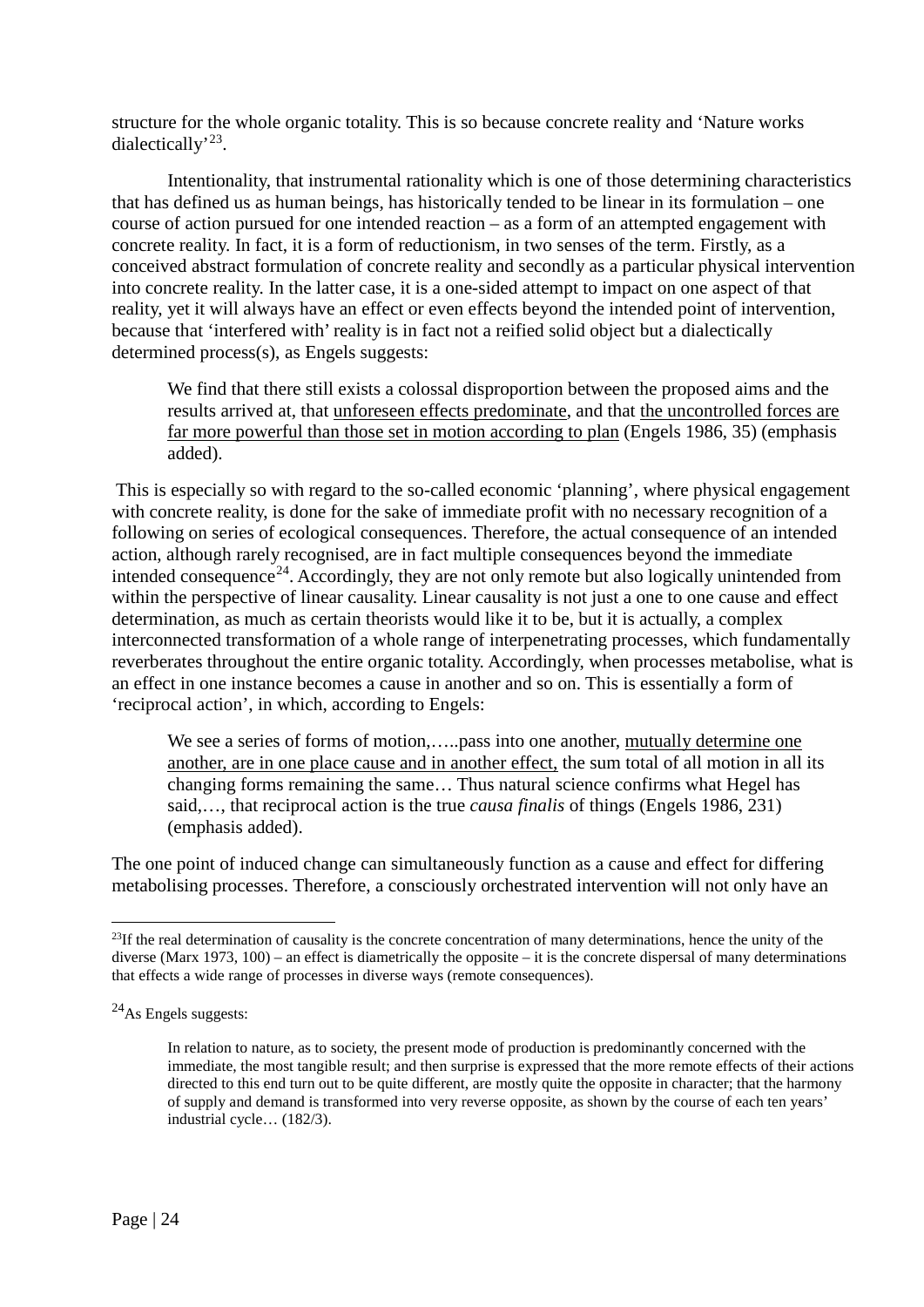structure for the whole organic totality. This is so because concrete reality and 'Nature works dialectically'[23](#page-24-0).

Intentionality, that instrumental rationality which is one of those determining characteristics that has defined us as human beings, has historically tended to be linear in its formulation – one course of action pursued for one intended reaction – as a form of an attempted engagement with concrete reality. In fact, it is a form of reductionism, in two senses of the term. Firstly, as a conceived abstract formulation of concrete reality and secondly as a particular physical intervention into concrete reality. In the latter case, it is a one-sided attempt to impact on one aspect of that reality, yet it will always have an effect or even effects beyond the intended point of intervention, because that 'interfered with' reality is in fact not a reified solid object but a dialectically determined process(s), as Engels suggests:

We find that there still exists a colossal disproportion between the proposed aims and the results arrived at, that unforeseen effects predominate, and that the uncontrolled forces are far more powerful than those set in motion according to plan (Engels 1986, 35) (emphasis added).

This is especially so with regard to the so-called economic 'planning', where physical engagement with concrete reality, is done for the sake of immediate profit with no necessary recognition of a following on series of ecological consequences. Therefore, the actual consequence of an intended action, although rarely recognised, are in fact multiple consequences beyond the immediate intended consequence<sup>[24](#page-24-1)</sup>. Accordingly, they are not only remote but also logically unintended from within the perspective of linear causality. Linear causality is not just a one to one cause and effect determination, as much as certain theorists would like it to be, but it is actually, a complex interconnected transformation of a whole range of interpenetrating processes, which fundamentally reverberates throughout the entire organic totality. Accordingly, when processes metabolise, what is an effect in one instance becomes a cause in another and so on. This is essentially a form of 'reciprocal action', in which, according to Engels:

We see a series of forms of motion,.....pass into one another, mutually determine one another, are in one place cause and in another effect, the sum total of all motion in all its changing forms remaining the same… Thus natural science confirms what Hegel has said,…, that reciprocal action is the true *causa finalis* of things (Engels 1986, 231) (emphasis added).

The one point of induced change can simultaneously function as a cause and effect for differing metabolising processes. Therefore, a consciously orchestrated intervention will not only have an

<span id="page-24-0"></span><sup>&</sup>lt;sup>23</sup>If the real determination of causality is the concrete concentration of many determinations, hence the unity of the diverse (Marx 1973, 100) – an effect is diametrically the opposite – it is the concrete dispersal of many determinations that effects a wide range of processes in diverse ways (remote consequences).

<span id="page-24-1"></span> $^{24}$ As Engels suggests:

In relation to nature, as to society, the present mode of production is predominantly concerned with the immediate, the most tangible result; and then surprise is expressed that the more remote effects of their actions directed to this end turn out to be quite different, are mostly quite the opposite in character; that the harmony of supply and demand is transformed into very reverse opposite, as shown by the course of each ten years' industrial cycle… (182/3).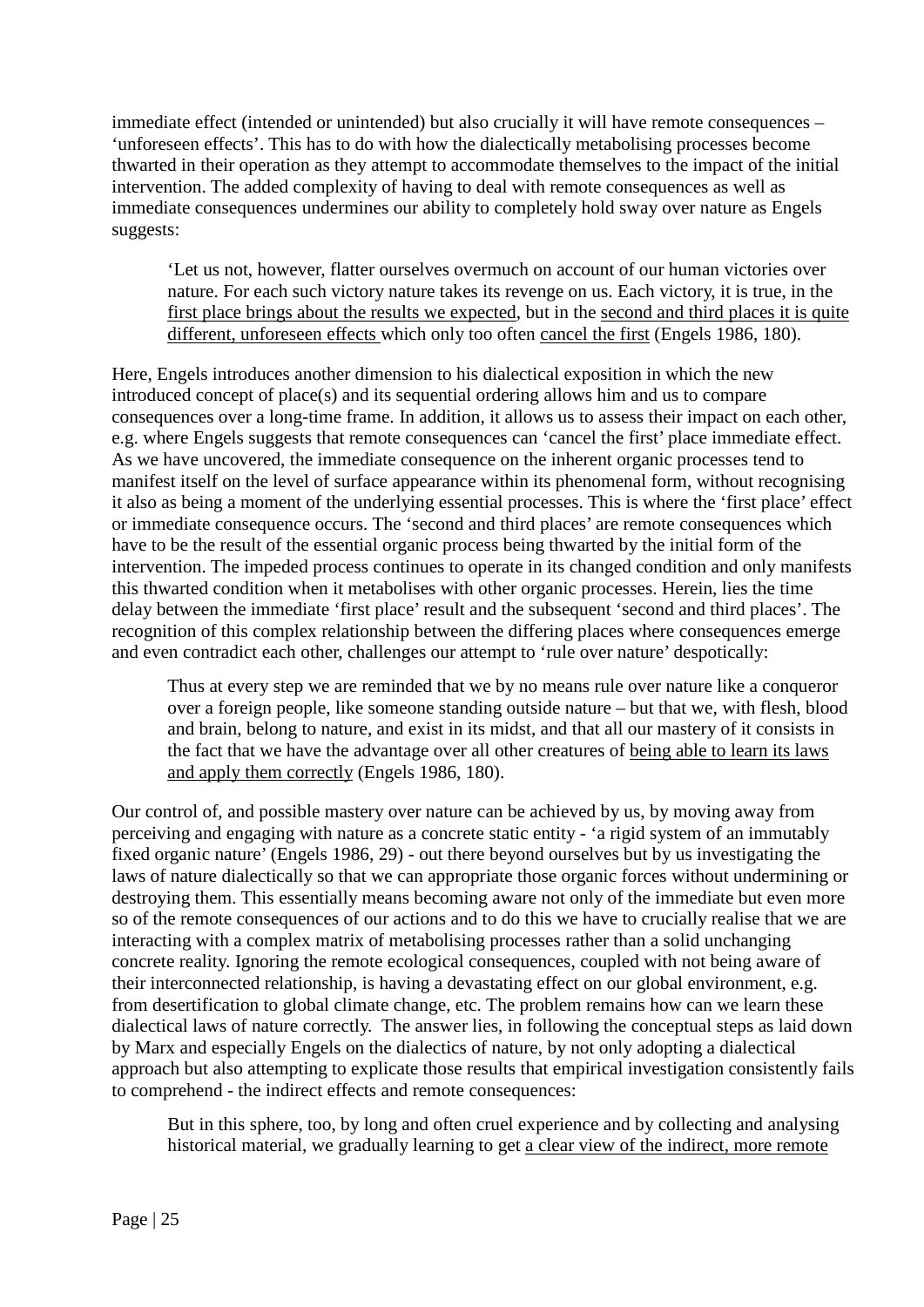immediate effect (intended or unintended) but also crucially it will have remote consequences – 'unforeseen effects'. This has to do with how the dialectically metabolising processes become thwarted in their operation as they attempt to accommodate themselves to the impact of the initial intervention. The added complexity of having to deal with remote consequences as well as immediate consequences undermines our ability to completely hold sway over nature as Engels suggests:

'Let us not, however, flatter ourselves overmuch on account of our human victories over nature. For each such victory nature takes its revenge on us. Each victory, it is true, in the first place brings about the results we expected, but in the second and third places it is quite different, unforeseen effects which only too often cancel the first (Engels 1986, 180).

Here, Engels introduces another dimension to his dialectical exposition in which the new introduced concept of place(s) and its sequential ordering allows him and us to compare consequences over a long-time frame. In addition, it allows us to assess their impact on each other, e.g. where Engels suggests that remote consequences can 'cancel the first' place immediate effect. As we have uncovered, the immediate consequence on the inherent organic processes tend to manifest itself on the level of surface appearance within its phenomenal form, without recognising it also as being a moment of the underlying essential processes. This is where the 'first place' effect or immediate consequence occurs. The 'second and third places' are remote consequences which have to be the result of the essential organic process being thwarted by the initial form of the intervention. The impeded process continues to operate in its changed condition and only manifests this thwarted condition when it metabolises with other organic processes. Herein, lies the time delay between the immediate 'first place' result and the subsequent 'second and third places'. The recognition of this complex relationship between the differing places where consequences emerge and even contradict each other, challenges our attempt to 'rule over nature' despotically:

Thus at every step we are reminded that we by no means rule over nature like a conqueror over a foreign people, like someone standing outside nature – but that we, with flesh, blood and brain, belong to nature, and exist in its midst, and that all our mastery of it consists in the fact that we have the advantage over all other creatures of being able to learn its laws and apply them correctly (Engels 1986, 180).

Our control of, and possible mastery over nature can be achieved by us, by moving away from perceiving and engaging with nature as a concrete static entity - 'a rigid system of an immutably fixed organic nature' (Engels 1986, 29) - out there beyond ourselves but by us investigating the laws of nature dialectically so that we can appropriate those organic forces without undermining or destroying them. This essentially means becoming aware not only of the immediate but even more so of the remote consequences of our actions and to do this we have to crucially realise that we are interacting with a complex matrix of metabolising processes rather than a solid unchanging concrete reality. Ignoring the remote ecological consequences, coupled with not being aware of their interconnected relationship, is having a devastating effect on our global environment, e.g. from desertification to global climate change, etc. The problem remains how can we learn these dialectical laws of nature correctly. The answer lies, in following the conceptual steps as laid down by Marx and especially Engels on the dialectics of nature, by not only adopting a dialectical approach but also attempting to explicate those results that empirical investigation consistently fails to comprehend - the indirect effects and remote consequences:

But in this sphere, too, by long and often cruel experience and by collecting and analysing historical material, we gradually learning to get a clear view of the indirect, more remote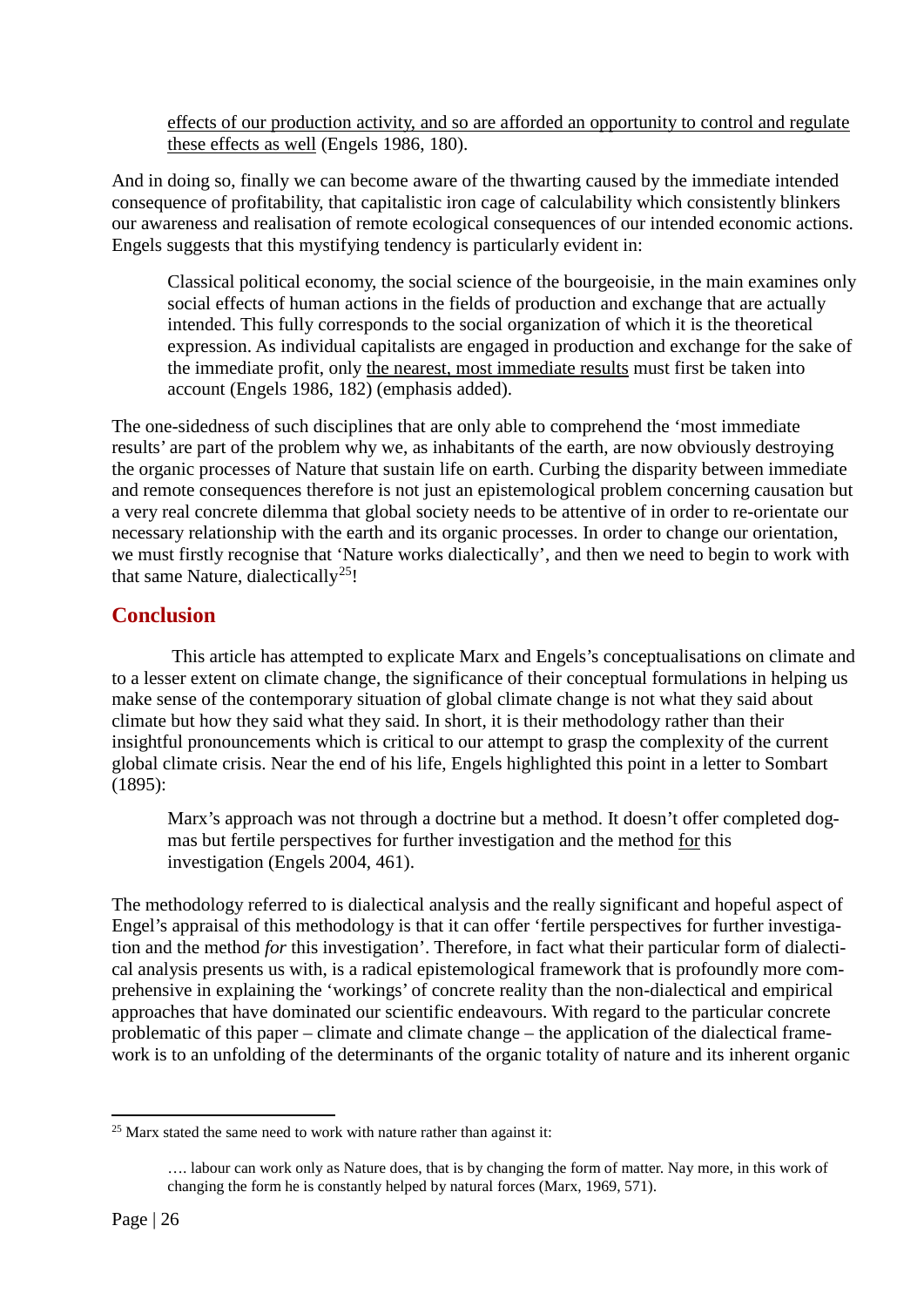effects of our production activity, and so are afforded an opportunity to control and regulate these effects as well (Engels 1986, 180).

And in doing so, finally we can become aware of the thwarting caused by the immediate intended consequence of profitability, that capitalistic iron cage of calculability which consistently blinkers our awareness and realisation of remote ecological consequences of our intended economic actions. Engels suggests that this mystifying tendency is particularly evident in:

Classical political economy, the social science of the bourgeoisie, in the main examines only social effects of human actions in the fields of production and exchange that are actually intended. This fully corresponds to the social organization of which it is the theoretical expression. As individual capitalists are engaged in production and exchange for the sake of the immediate profit, only the nearest, most immediate results must first be taken into account (Engels 1986, 182) (emphasis added).

The one-sidedness of such disciplines that are only able to comprehend the 'most immediate results' are part of the problem why we, as inhabitants of the earth, are now obviously destroying the organic processes of Nature that sustain life on earth. Curbing the disparity between immediate and remote consequences therefore is not just an epistemological problem concerning causation but a very real concrete dilemma that global society needs to be attentive of in order to re-orientate our necessary relationship with the earth and its organic processes. In order to change our orientation, we must firstly recognise that 'Nature works dialectically', and then we need to begin to work with that same Nature, dialectically<sup>25</sup>!

#### **Conclusion**

This article has attempted to explicate Marx and Engels's conceptualisations on climate and to a lesser extent on climate change, the significance of their conceptual formulations in helping us make sense of the contemporary situation of global climate change is not what they said about climate but how they said what they said. In short, it is their methodology rather than their insightful pronouncements which is critical to our attempt to grasp the complexity of the current global climate crisis. Near the end of his life, Engels highlighted this point in a letter to Sombart (1895):

Marx's approach was not through a doctrine but a method. It doesn't offer completed dogmas but fertile perspectives for further investigation and the method for this investigation (Engels 2004, 461).

The methodology referred to is dialectical analysis and the really significant and hopeful aspect of Engel's appraisal of this methodology is that it can offer 'fertile perspectives for further investigation and the method *for* this investigation'. Therefore, in fact what their particular form of dialectical analysis presents us with, is a radical epistemological framework that is profoundly more comprehensive in explaining the 'workings' of concrete reality than the non-dialectical and empirical approaches that have dominated our scientific endeavours. With regard to the particular concrete problematic of this paper – climate and climate change – the application of the dialectical framework is to an unfolding of the determinants of the organic totality of nature and its inherent organic

<span id="page-26-0"></span><sup>&</sup>lt;sup>25</sup> Marx stated the same need to work with nature rather than against it:

<sup>….</sup> labour can work only as Nature does, that is by changing the form of matter. Nay more, in this work of changing the form he is constantly helped by natural forces (Marx, 1969, 571).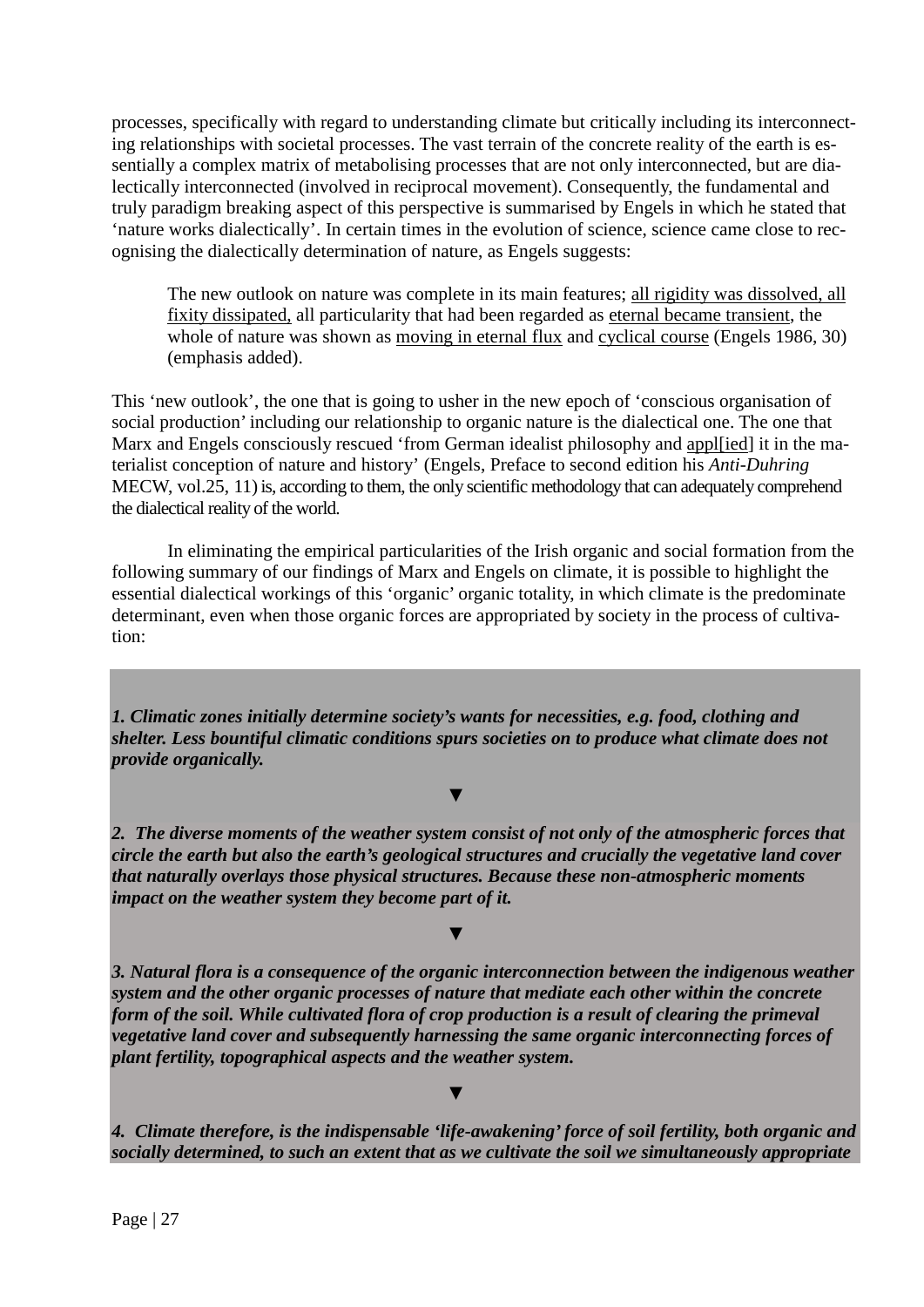processes, specifically with regard to understanding climate but critically including its interconnecting relationships with societal processes. The vast terrain of the concrete reality of the earth is essentially a complex matrix of metabolising processes that are not only interconnected, but are dialectically interconnected (involved in reciprocal movement). Consequently, the fundamental and truly paradigm breaking aspect of this perspective is summarised by Engels in which he stated that 'nature works dialectically'. In certain times in the evolution of science, science came close to recognising the dialectically determination of nature, as Engels suggests:

The new outlook on nature was complete in its main features; all rigidity was dissolved, all fixity dissipated, all particularity that had been regarded as eternal became transient, the whole of nature was shown as moving in eternal flux and cyclical course (Engels 1986, 30) (emphasis added).

This 'new outlook', the one that is going to usher in the new epoch of 'conscious organisation of social production' including our relationship to organic nature is the dialectical one. The one that Marx and Engels consciously rescued 'from German idealist philosophy and appl[ied] it in the materialist conception of nature and history' (Engels, Preface to second edition his *Anti-Duhring*  MECW, vol.25, 11) is, according to them, the only scientific methodology that can adequately comprehend the dialectical reality of the world.

In eliminating the empirical particularities of the Irish organic and social formation from the following summary of our findings of Marx and Engels on climate, it is possible to highlight the essential dialectical workings of this 'organic' organic totality, in which climate is the predominate determinant, even when those organic forces are appropriated by society in the process of cultivation:

*1. Climatic zones initially determine society's wants for necessities, e.g. food, clothing and shelter. Less bountiful climatic conditions spurs societies on to produce what climate does not provide organically.*

▼

*2. The diverse moments of the weather system consist of not only of the atmospheric forces that circle the earth but also the earth's geological structures and crucially the vegetative land cover that naturally overlays those physical structures. Because these non-atmospheric moments impact on the weather system they become part of it.*

▼

▼

*3. Natural flora is a consequence of the organic interconnection between the indigenous weather system and the other organic processes of nature that mediate each other within the concrete form of the soil. While cultivated flora of crop production is a result of clearing the primeval vegetative land cover and subsequently harnessing the same organic interconnecting forces of plant fertility, topographical aspects and the weather system.*

#### *4. Climate therefore, is the indispensable 'life-awakening' force of soil fertility, both organic and socially determined, to such an extent that as we cultivate the soil we simultaneously appropriate*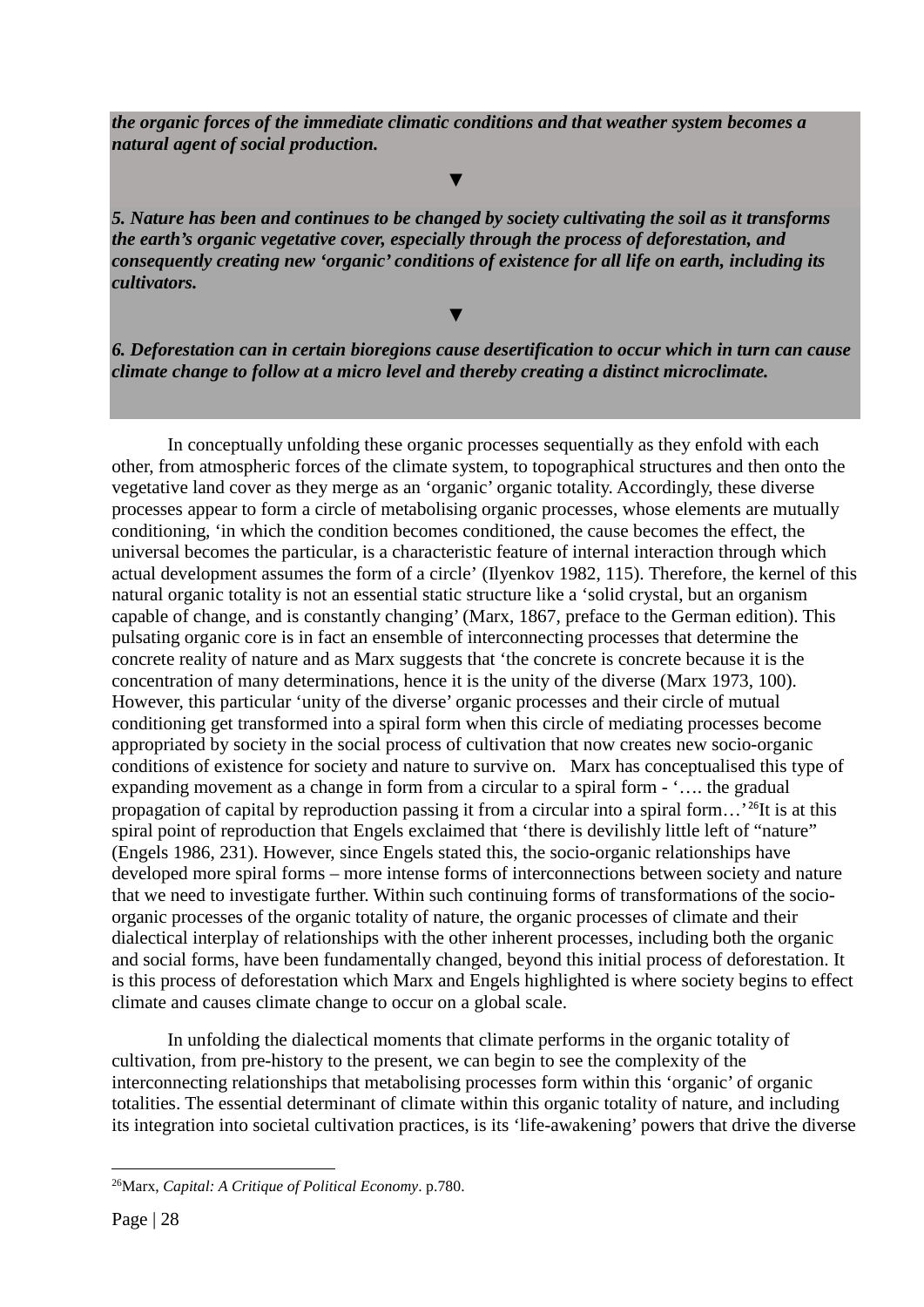*the organic forces of the immediate climatic conditions and that weather system becomes a natural agent of social production.*

▼

▼

*5. Nature has been and continues to be changed by society cultivating the soil as it transforms the earth's organic vegetative cover, especially through the process of deforestation, and consequently creating new 'organic' conditions of existence for all life on earth, including its cultivators.*

*6. Deforestation can in certain bioregions cause desertification to occur which in turn can cause climate change to follow at a micro level and thereby creating a distinct microclimate.*

In conceptually unfolding these organic processes sequentially as they enfold with each other, from atmospheric forces of the climate system, to topographical structures and then onto the vegetative land cover as they merge as an 'organic' organic totality. Accordingly, these diverse processes appear to form a circle of metabolising organic processes, whose elements are mutually conditioning, 'in which the condition becomes conditioned, the cause becomes the effect, the universal becomes the particular, is a characteristic feature of internal interaction through which actual development assumes the form of a circle' (Ilyenkov 1982, 115). Therefore, the kernel of this natural organic totality is not an essential static structure like a 'solid crystal, but an organism capable of change, and is constantly changing' (Marx, 1867, preface to the German edition). This pulsating organic core is in fact an ensemble of interconnecting processes that determine the concrete reality of nature and as Marx suggests that 'the concrete is concrete because it is the concentration of many determinations, hence it is the unity of the diverse (Marx 1973, 100). However, this particular 'unity of the diverse' organic processes and their circle of mutual conditioning get transformed into a spiral form when this circle of mediating processes become appropriated by society in the social process of cultivation that now creates new socio-organic conditions of existence for society and nature to survive on. Marx has conceptualised this type of expanding movement as a change in form from a circular to a spiral form - '…. the gradual propagation of capital by reproduction passing it from a circular into a spiral form…'[26](#page-28-0)It is at this spiral point of reproduction that Engels exclaimed that 'there is devilishly little left of "nature" (Engels 1986, 231). However, since Engels stated this, the socio-organic relationships have developed more spiral forms – more intense forms of interconnections between society and nature that we need to investigate further. Within such continuing forms of transformations of the socioorganic processes of the organic totality of nature, the organic processes of climate and their dialectical interplay of relationships with the other inherent processes, including both the organic and social forms, have been fundamentally changed, beyond this initial process of deforestation. It is this process of deforestation which Marx and Engels highlighted is where society begins to effect climate and causes climate change to occur on a global scale.

In unfolding the dialectical moments that climate performs in the organic totality of cultivation, from pre-history to the present, we can begin to see the complexity of the interconnecting relationships that metabolising processes form within this 'organic' of organic totalities. The essential determinant of climate within this organic totality of nature, and including its integration into societal cultivation practices, is its 'life-awakening' powers that drive the diverse

1

<span id="page-28-0"></span><sup>26</sup>Marx, *Capital: A Critique of Political Economy*. p.780.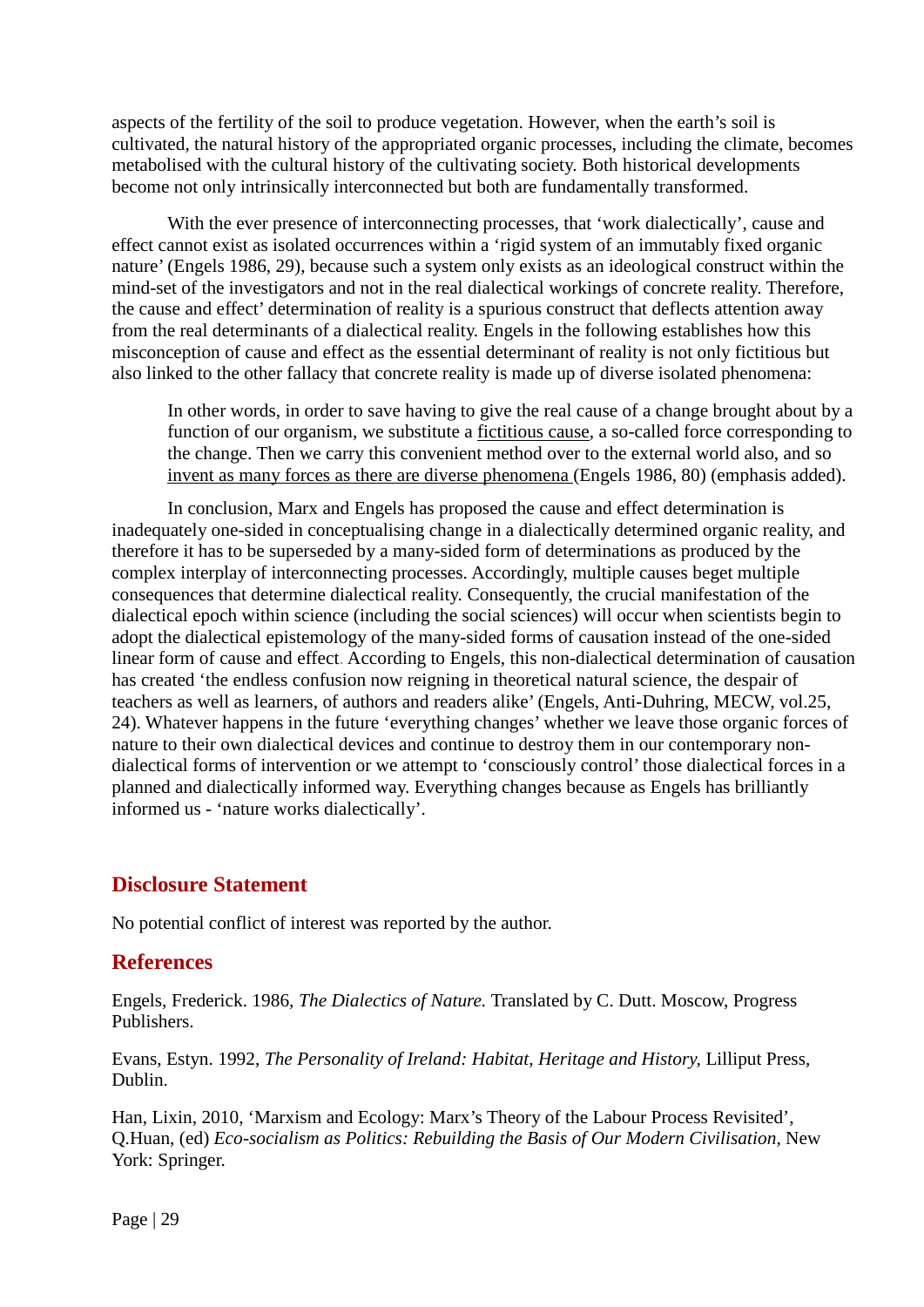aspects of the fertility of the soil to produce vegetation. However, when the earth's soil is cultivated, the natural history of the appropriated organic processes, including the climate, becomes metabolised with the cultural history of the cultivating society. Both historical developments become not only intrinsically interconnected but both are fundamentally transformed.

With the ever presence of interconnecting processes, that 'work dialectically', cause and effect cannot exist as isolated occurrences within a 'rigid system of an immutably fixed organic nature' (Engels 1986, 29), because such a system only exists as an ideological construct within the mind-set of the investigators and not in the real dialectical workings of concrete reality. Therefore, the cause and effect' determination of reality is a spurious construct that deflects attention away from the real determinants of a dialectical reality. Engels in the following establishes how this misconception of cause and effect as the essential determinant of reality is not only fictitious but also linked to the other fallacy that concrete reality is made up of diverse isolated phenomena:

In other words, in order to save having to give the real cause of a change brought about by a function of our organism, we substitute a fictitious cause, a so-called force corresponding to the change. Then we carry this convenient method over to the external world also, and so invent as many forces as there are diverse phenomena (Engels 1986, 80) (emphasis added).

In conclusion, Marx and Engels has proposed the cause and effect determination is inadequately one-sided in conceptualising change in a dialectically determined organic reality, and therefore it has to be superseded by a many-sided form of determinations as produced by the complex interplay of interconnecting processes. Accordingly, multiple causes beget multiple consequences that determine dialectical reality. Consequently, the crucial manifestation of the dialectical epoch within science (including the social sciences) will occur when scientists begin to adopt the dialectical epistemology of the many-sided forms of causation instead of the one-sided linear form of cause and effect. According to Engels, this non-dialectical determination of causation has created 'the endless confusion now reigning in theoretical natural science, the despair of teachers as well as learners, of authors and readers alike' (Engels, Anti-Duhring, MECW, vol.25, 24). Whatever happens in the future 'everything changes' whether we leave those organic forces of nature to their own dialectical devices and continue to destroy them in our contemporary nondialectical forms of intervention or we attempt to 'consciously control' those dialectical forces in a planned and dialectically informed way. Everything changes because as Engels has brilliantly informed us - 'nature works dialectically'.

#### **Disclosure Statement**

No potential conflict of interest was reported by the author.

#### **References**

Engels, Frederick. 1986, *The Dialectics of Nature.* Translated by C. Dutt. Moscow, Progress Publishers.

Evans, Estyn. 1992, *The Personality of Ireland: Habitat, Heritage and History,* Lilliput Press, Dublin.

Han, Lixin, 2010, 'Marxism and Ecology: Marx's Theory of the Labour Process Revisited', Q.Huan, (ed) *Eco-socialism as Politics: Rebuilding the Basis of Our Modern Civilisation,* New York: Springer.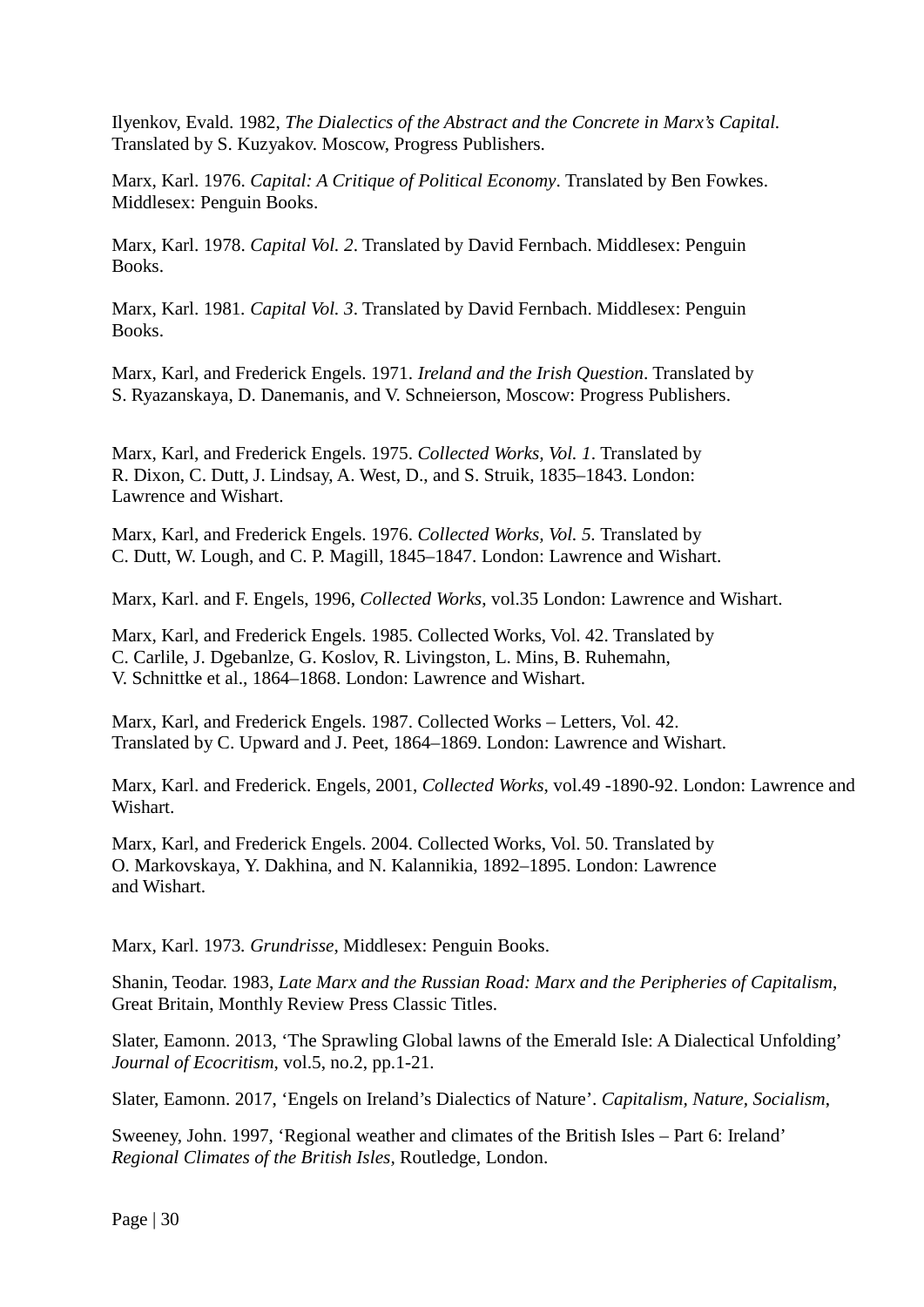Ilyenkov, Evald. 1982, *The Dialectics of the Abstract and the Concrete in Marx's Capital.*  Translated by S. Kuzyakov. Moscow, Progress Publishers.

Marx, Karl. 1976. *Capital: A Critique of Political Economy*. Translated by Ben Fowkes. Middlesex: Penguin Books.

Marx, Karl. 1978. *Capital Vol. 2*. Translated by David Fernbach. Middlesex: Penguin Books.

Marx, Karl. 1981*. Capital Vol. 3*. Translated by David Fernbach. Middlesex: Penguin Books.

Marx, Karl, and Frederick Engels. 1971. *Ireland and the Irish Question*. Translated by S. Ryazanskaya, D. Danemanis, and V. Schneierson, Moscow: Progress Publishers.

Marx, Karl, and Frederick Engels. 1975. *Collected Works, Vol. 1*. Translated by R. Dixon, C. Dutt, J. Lindsay, A. West, D., and S. Struik, 1835–1843. London: Lawrence and Wishart.

Marx, Karl, and Frederick Engels. 1976. *Collected Works, Vol. 5.* Translated by C. Dutt, W. Lough, and C. P. Magill, 1845–1847. London: Lawrence and Wishart.

Marx, Karl. and F. Engels, 1996, *Collected Works*, vol.35 London: Lawrence and Wishart.

Marx, Karl, and Frederick Engels. 1985. Collected Works, Vol. 42. Translated by C. Carlile, J. Dgebanlze, G. Koslov, R. Livingston, L. Mins, B. Ruhemahn, V. Schnittke et al., 1864–1868. London: Lawrence and Wishart.

Marx, Karl, and Frederick Engels. 1987. Collected Works – Letters, Vol. 42. Translated by C. Upward and J. Peet, 1864–1869. London: Lawrence and Wishart.

Marx, Karl. and Frederick. Engels, 2001, *Collected Works*, vol.49 -1890-92. London: Lawrence and Wishart.

Marx, Karl, and Frederick Engels. 2004. Collected Works, Vol. 50. Translated by O. Markovskaya, Y. Dakhina, and N. Kalannikia, 1892–1895. London: Lawrence and Wishart.

Marx, Karl. 1973*. Grundrisse*, Middlesex: Penguin Books.

Shanin, Teodar. 1983, *Late Marx and the Russian Road: Marx and the Peripheries of Capitalism*, Great Britain, Monthly Review Press Classic Titles.

Slater, Eamonn. 2013, 'The Sprawling Global lawns of the Emerald Isle: A Dialectical Unfolding' *Journal of Ecocritism*, vol.5, no.2, pp.1-21.

Slater, Eamonn. 2017, 'Engels on Ireland's Dialectics of Nature'. *Capitalism, Nature, Socialism*,

Sweeney, John. 1997, 'Regional weather and climates of the British Isles – Part 6: Ireland' *Regional Climates of the British Isles,* Routledge, London.